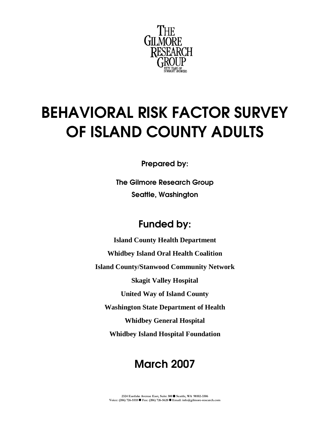

# BEHAVIORAL RISK FACTOR SURVEY OF ISLAND COUNTY ADULTS

Prepared by:

The Gilmore Research Group Seattle, Washington

## Funded by:

**Island County Health Department Whidbey Island Oral Health Coalition Island County/Stanwood Community Network Skagit Valley Hospital United Way of Island County Washington State Department of Health Whidbey General Hospital Whidbey Island Hospital Foundation** 

## March 2007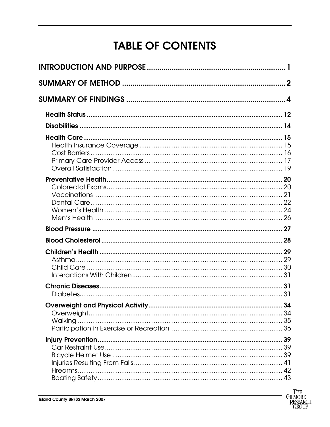# **TABLE OF CONTENTS**

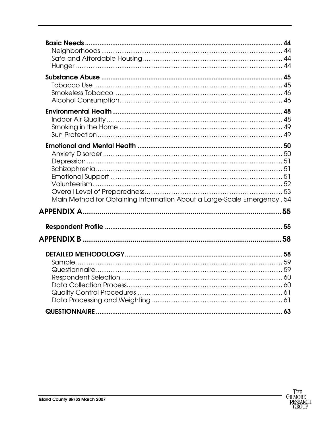| Main Method for Obtaining Information About a Large-Scale Emergency. 54 |    |
|-------------------------------------------------------------------------|----|
|                                                                         |    |
|                                                                         | 55 |
|                                                                         | 55 |
|                                                                         |    |
|                                                                         | 58 |
|                                                                         |    |
|                                                                         |    |
|                                                                         |    |
|                                                                         |    |
|                                                                         |    |
|                                                                         |    |
|                                                                         |    |
|                                                                         |    |

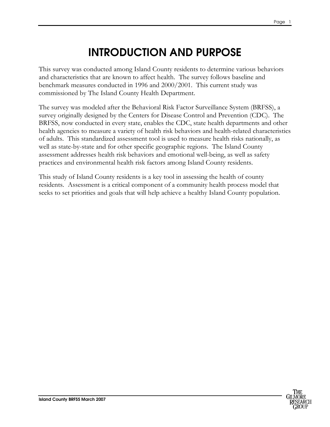## INTRODUCTION AND PURPOSE

<span id="page-3-0"></span>This survey was conducted among Island County residents to determine various behaviors and characteristics that are known to affect health. The survey follows baseline and benchmark measures conducted in 1996 and 2000/2001. This current study was commissioned by The Island County Health Department.

The survey was modeled after the Behavioral Risk Factor Surveillance System (BRFSS), a survey originally designed by the Centers for Disease Control and Prevention (CDC). The BRFSS, now conducted in every state, enables the CDC, state health departments and other health agencies to measure a variety of health risk behaviors and health-related characteristics of adults. This standardized assessment tool is used to measure health risks nationally, as well as state-by-state and for other specific geographic regions. The Island County assessment addresses health risk behaviors and emotional well-being, as well as safety practices and environmental health risk factors among Island County residents.

This study of Island County residents is a key tool in assessing the health of county residents. Assessment is a critical component of a community health process model that seeks to set priorities and goals that will help achieve a healthy Island County population.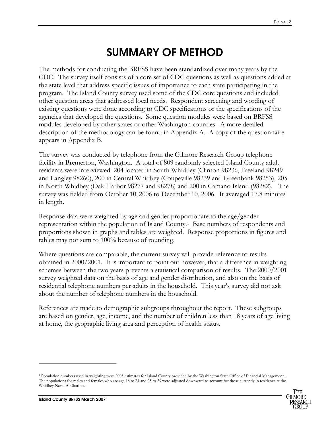## SUMMARY OF METHOD

<span id="page-4-0"></span>The methods for conducting the BRFSS have been standardized over many years by the CDC. The survey itself consists of a core set of CDC questions as well as questions added at the state level that address specific issues of importance to each state participating in the program. The Island County survey used some of the CDC core questions and included other question areas that addressed local needs. Respondent screening and wording of existing questions were done according to CDC specifications or the specifications of the agencies that developed the questions. Some question modules were based on BRFSS modules developed by other states or other Washington counties. A more detailed description of the methodology can be found in Appendix A. A copy of the questionnaire appears in Appendix B.

The survey was conducted by telephone from the Gilmore Research Group telephone facility in Bremerton, Washington. A total of 809 randomly selected Island County adult residents were interviewed: 204 located in South Whidbey (Clinton 98236, Freeland 98249 and Langley 98260), 200 in Central Whidbey (Coupeville 98239 and Greenbank 98253), 205 in North Whidbey (Oak Harbor 98277 and 98278) and 200 in Camano Island (98282). The survey was fielded from October 10, 2006 to December 10, 2006. It averaged 17.8 minutes in length.

Response data were weighted by age and gender proportionate to the age/gender representation within the population of Island County.<sup>1</sup> Base numbers of respondents and proportions shown in graphs and tables are weighted. Response proportions in figures and tables may not sum to 100% because of rounding.

Where questions are comparable, the current survey will provide reference to results obtained in 2000/2001. It is important to point out however, that a difference in weighting schemes between the two years prevents a statistical comparison of results. The 2000/2001 survey weighted data on the basis of age and gender distribution, and also on the basis of residential telephone numbers per adults in the household. This year's survey did not ask about the number of telephone numbers in the household.

References are made to demographic subgroups throughout the report. These subgroups are based on gender, age, income, and the number of children less than 18 years of age living at home, the geographic living area and perception of health status.

-

<sup>&</sup>lt;sup>1</sup> Population numbers used in weighting were 2005 estimates for Island County provided by the Washington State Office of Financial Management.. The populations for males and females who are age 18 to 24 and 25 to 29 were adjusted downward to account for those currently in residence at the Whidbey Naval Air Station.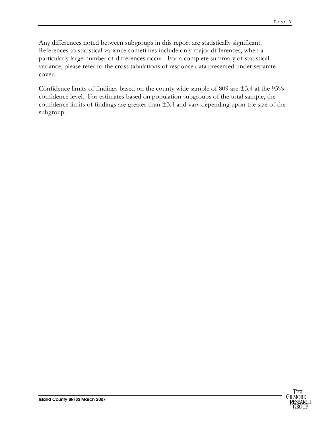Any differences noted between subgroups in this report are statistically significant. References to statistical variance sometimes include only major differences, when a particularly large number of differences occur. For a complete summary of statistical variance, please refer to the cross tabulations of response data presented under separate cover.

Confidence limits of findings based on the county wide sample of 809 are  $\pm$ 3.4 at the 95% confidence level. For estimates based on population subgroups of the total sample, the confidence limits of findings are greater than  $\pm$ 3.4 and vary depending upon the size of the subgroup.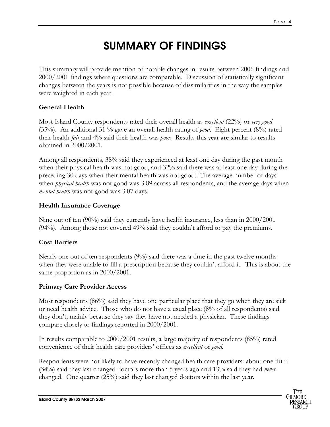## SUMMARY OF FINDINGS

<span id="page-6-0"></span>This summary will provide mention of notable changes in results between 2006 findings and 2000/2001 findings where questions are comparable. Discussion of statistically significant changes between the years is not possible because of dissimilarities in the way the samples were weighted in each year.

#### General Health

Most Island County respondents rated their overall health as *excellent* (22%) or *very good* (35%). An additional 31 % gave an overall health rating of good. Eight percent (8%) rated their health fair and 4% said their health was poor. Results this year are similar to results obtained in 2000/2001.

Among all respondents, 38% said they experienced at least one day during the past month when their physical health was not good, and 32% said there was at least one day during the preceding 30 days when their mental health was not good. The average number of days when *physical health* was not good was 3.89 across all respondents, and the average days when mental health was not good was 3.07 days.

#### Health Insurance Coverage

Nine out of ten (90%) said they currently have health insurance, less than in 2000/2001 (94%). Among those not covered 49% said they couldn't afford to pay the premiums.

#### Cost Barriers

Nearly one out of ten respondents (9%) said there was a time in the past twelve months when they were unable to fill a prescription because they couldn't afford it. This is about the same proportion as in 2000/2001.

#### Primary Care Provider Access

Most respondents (86%) said they have one particular place that they go when they are sick or need health advice. Those who do not have a usual place (8% of all respondents) said they don't, mainly because they say they have not needed a physician. These findings compare closely to findings reported in 2000/2001.

In results comparable to 2000/2001 results, a large majority of respondents (85%) rated convenience of their health care providers' offices as excellent or good.

Respondents were not likely to have recently changed health care providers: about one third (34%) said they last changed doctors more than 5 years ago and 13% said they had *never* changed. One quarter (25%) said they last changed doctors within the last year.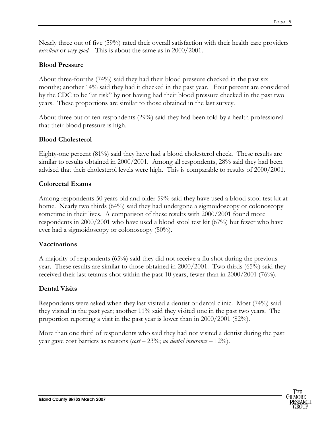Nearly three out of five (59%) rated their overall satisfaction with their health care providers excellent or very good. This is about the same as in 2000/2001.

#### Blood Pressure

About three-fourths (74%) said they had their blood pressure checked in the past six months; another 14% said they had it checked in the past year. Four percent are considered by the CDC to be "at risk" by not having had their blood pressure checked in the past two years. These proportions are similar to those obtained in the last survey.

About three out of ten respondents (29%) said they had been told by a health professional that their blood pressure is high.

#### Blood Cholesterol

Eighty-one percent (81%) said they have had a blood cholesterol check. These results are similar to results obtained in 2000/2001. Among all respondents, 28% said they had been advised that their cholesterol levels were high. This is comparable to results of 2000/2001.

#### Colorectal Exams

Among respondents 50 years old and older 59% said they have used a blood stool test kit at home. Nearly two thirds (64%) said they had undergone a sigmoidoscopy or colonoscopy sometime in their lives. A comparison of these results with 2000/2001 found more respondents in 2000/2001 who have used a blood stool test kit (67%) but fewer who have ever had a sigmoidoscopy or colonoscopy (50%).

#### Vaccinations

A majority of respondents (65%) said they did not receive a flu shot during the previous year. These results are similar to those obtained in 2000/2001. Two thirds (65%) said they received their last tetanus shot within the past 10 years, fewer than in 2000/2001 (76%).

#### Dental Visits

Respondents were asked when they last visited a dentist or dental clinic. Most (74%) said they visited in the past year; another 11% said they visited one in the past two years. The proportion reporting a visit in the past year is lower than in 2000/2001 (82%).

More than one third of respondents who said they had not visited a dentist during the past year gave cost barriers as reasons (*cost*  $-$  23%; *no dental insurance*  $-$  12%).

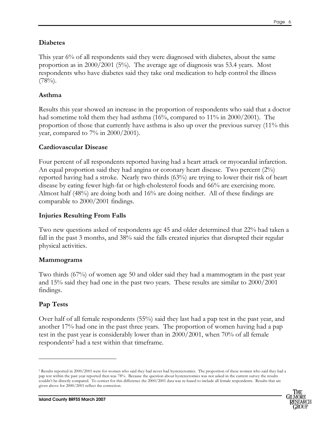#### Diabetes

This year 6% of all respondents said they were diagnosed with diabetes, about the same proportion as in 2000/2001 (5%). The average age of diagnosis was 53.4 years. Most respondents who have diabetes said they take oral medication to help control the illness  $(78\%)$ .

#### Asthma

Results this year showed an increase in the proportion of respondents who said that a doctor had sometime told them they had asthma (16%, compared to 11% in 2000/2001). The proportion of those that currently have asthma is also up over the previous survey (11% this year, compared to  $7\%$  in  $2000/2001$ ).

#### Cardiovascular Disease

Four percent of all respondents reported having had a heart attack or myocardial infarction. An equal proportion said they had angina or coronary heart disease. Two percent (2%) reported having had a stroke. Nearly two thirds (63%) are trying to lower their risk of heart disease by eating fewer high-fat or high-cholesterol foods and 66% are exercising more. Almost half (48%) are doing both and 16% are doing neither. All of these findings are comparable to 2000/2001 findings.

#### Injuries Resulting From Falls

Two new questions asked of respondents age 45 and older determined that 22% had taken a fall in the past 3 months, and 38% said the falls created injuries that disrupted their regular physical activities.

#### Mammograms

Two thirds (67%) of women age 50 and older said they had a mammogram in the past year and 15% said they had one in the past two years. These results are similar to 2000/2001 findings.

#### Pap Tests

-

Over half of all female respondents (55%) said they last had a pap test in the past year, and another 17% had one in the past three years. The proportion of women having had a pap test in the past year is considerably lower than in 2000/2001, when 70% of all female respondents<sup>2</sup> had a test within that timeframe.

<sup>2</sup> Results reported in 2000/2001 were for women who said they had never had hysterectomies. The proportion of these women who said they had a pap test within the past year reported then was 78%. Because the question about hysterectomies was not asked in the current survey the results couldn't be directly compared. To correct for this difference the 2000/2001 data was re-based to include all female respondents. Results that are given above for 2000/2001 reflect the correction.

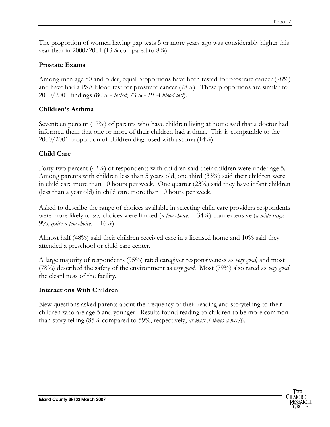The proportion of women having pap tests 5 or more years ago was considerably higher this year than in  $2000/2001$  (13% compared to 8%).

#### Prostate Exams

Among men age 50 and older, equal proportions have been tested for prostrate cancer (78%) and have had a PSA blood test for prostrate cancer (78%). These proportions are similar to 2000/2001 findings (80% - tested; 73% - PSA blood test).

#### Children's Asthma

Seventeen percent (17%) of parents who have children living at home said that a doctor had informed them that one or more of their children had asthma. This is comparable to the 2000/2001 proportion of children diagnosed with asthma (14%).

#### Child Care

Forty-two percent (42%) of respondents with children said their children were under age 5. Among parents with children less than 5 years old, one third (33%) said their children were in child care more than 10 hours per week. One quarter (23%) said they have infant children (less than a year old) in child care more than 10 hours per week.

Asked to describe the range of choices available in selecting child care providers respondents were more likely to say choices were limited (*a few choices*  $-$  34%) than extensive (*a wide range*  $-$ 9%; quite a few choices  $-16%$ .

Almost half (48%) said their children received care in a licensed home and 10% said they attended a preschool or child care center.

A large majority of respondents (95%) rated caregiver responsiveness as very good, and most (78%) described the safety of the environment as *very good*. Most (79%) also rated as *very good* the cleanliness of the facility.

#### Interactions With Children

New questions asked parents about the frequency of their reading and storytelling to their children who are age 5 and younger. Results found reading to children to be more common than story telling (85% compared to 59%, respectively, *at least 3 times a week*).

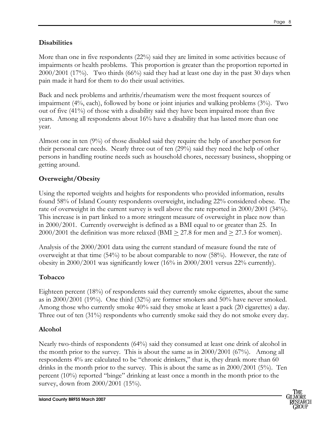#### **Disabilities**

More than one in five respondents (22%) said they are limited in some activities because of impairments or health problems. This proportion is greater than the proportion reported in 2000/2001 (17%). Two thirds (66%) said they had at least one day in the past 30 days when pain made it hard for them to do their usual activities.

Back and neck problems and arthritis/rheumatism were the most frequent sources of impairment (4%, each), followed by bone or joint injuries and walking problems (3%). Two out of five (41%) of those with a disability said they have been impaired more than five years. Among all respondents about 16% have a disability that has lasted more than one year.

Almost one in ten (9%) of those disabled said they require the help of another person for their personal care needs. Nearly three out of ten (29%) said they need the help of other persons in handling routine needs such as household chores, necessary business, shopping or getting around.

#### Overweight/Obesity

Using the reported weights and heights for respondents who provided information, results found 58% of Island County respondents overweight, including 22% considered obese. The rate of overweight in the current survey is well above the rate reported in 2000/2001 (34%). This increase is in part linked to a more stringent measure of overweight in place now than in 2000/2001. Currently overweight is defined as a BMI equal to or greater than 25. In 2000/2001 the definition was more relaxed (BMI  $\geq$  27.8 for men and  $\geq$  27.3 for women).

Analysis of the 2000/2001 data using the current standard of measure found the rate of overweight at that time  $(54%)$  to be about comparable to now  $(58%)$ . However, the rate of obesity in 2000/2001 was significantly lower (16% in 2000/2001 versus 22% currently).

#### Tobacco

Eighteen percent (18%) of respondents said they currently smoke cigarettes, about the same as in 2000/2001 (19%). One third (32%) are former smokers and 50% have never smoked. Among those who currently smoke 40% said they smoke at least a pack (20 cigarettes) a day. Three out of ten (31%) respondents who currently smoke said they do not smoke every day.

#### Alcohol

Nearly two-thirds of respondents (64%) said they consumed at least one drink of alcohol in the month prior to the survey. This is about the same as in 2000/2001 (67%). Among all respondents 4% are calculated to be "chronic drinkers," that is, they drank more than 60 drinks in the month prior to the survey. This is about the same as in 2000/2001 (5%). Ten percent (10%) reported "binge" drinking at least once a month in the month prior to the survey, down from 2000/2001 (15%).

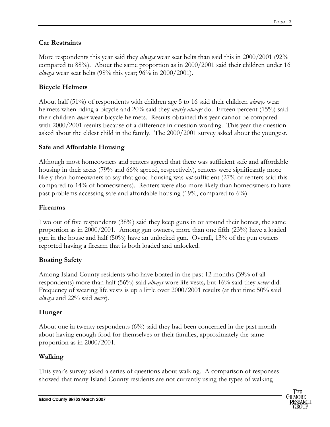#### Car Restraints

More respondents this year said they *always* wear seat belts than said this in 2000/2001 (92% compared to 88%). About the same proportion as in 2000/2001 said their children under 16 *always* wear seat belts  $(98\%$  this year;  $96\%$  in  $2000/2001$ .

#### Bicycle Helmets

About half (51%) of respondents with children age 5 to 16 said their children always wear helmets when riding a bicycle and 20% said they *nearly always* do. Fifteen percent (15%) said their children *never* wear bicycle helmets. Results obtained this year cannot be compared with 2000/2001 results because of a difference in question wording. This year the question asked about the eldest child in the family. The 2000/2001 survey asked about the youngest.

#### Safe and Affordable Housing

Although most homeowners and renters agreed that there was sufficient safe and affordable housing in their areas (79% and 66% agreed, respectively), renters were significantly more likely than homeowners to say that good housing was *not* sufficient (27% of renters said this compared to 14% of homeowners). Renters were also more likely than homeowners to have past problems accessing safe and affordable housing (19%, compared to 6%).

#### Firearms

Two out of five respondents (38%) said they keep guns in or around their homes, the same proportion as in 2000/2001. Among gun owners, more than one fifth (23%) have a loaded gun in the house and half (50%) have an unlocked gun. Overall, 13% of the gun owners reported having a firearm that is both loaded and unlocked.

#### Boating Safety

Among Island County residents who have boated in the past 12 months (39% of all respondents) more than half (56%) said always wore life vests, but 16% said they never did. Frequency of wearing life vests is up a little over 2000/2001 results (at that time 50% said always and 22% said never).

#### Hunger

About one in twenty respondents  $(6\%)$  said they had been concerned in the past month about having enough food for themselves or their families, approximately the same proportion as in 2000/2001.

#### Walking

This year's survey asked a series of questions about walking. A comparison of responses showed that many Island County residents are not currently using the types of walking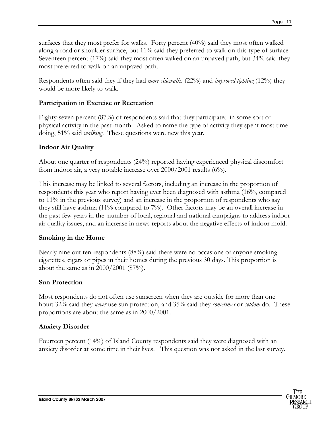surfaces that they most prefer for walks. Forty percent (40%) said they most often walked along a road or shoulder surface, but 11% said they preferred to walk on this type of surface. Seventeen percent (17%) said they most often waked on an unpaved path, but 34% said they most preferred to walk on an unpaved path.

Respondents often said they if they had *more sidewalks* (22%) and *improved lighting* (12%) they would be more likely to walk.

#### Participation in Exercise or Recreation

Eighty-seven percent (87%) of respondents said that they participated in some sort of physical activity in the past month. Asked to name the type of activity they spent most time doing, 51% said *walking*. These questions were new this year.

#### Indoor Air Quality

About one quarter of respondents (24%) reported having experienced physical discomfort from indoor air, a very notable increase over 2000/2001 results (6%).

This increase may be linked to several factors, including an increase in the proportion of respondents this year who report having ever been diagnosed with asthma (16%, compared to 11% in the previous survey) and an increase in the proportion of respondents who say they still have asthma (11% compared to 7%). Other factors may be an overall increase in the past few years in the number of local, regional and national campaigns to address indoor air quality issues, and an increase in news reports about the negative effects of indoor mold.

#### Smoking in the Home

Nearly nine out ten respondents (88%) said there were no occasions of anyone smoking cigarettes, cigars or pipes in their homes during the previous 30 days. This proportion is about the same as in 2000/2001 (87%).

#### Sun Protection

Most respondents do not often use sunscreen when they are outside for more than one hour: 32% said they *never* use sun protection, and 35% said they *sometimes* or *seldom* do. These proportions are about the same as in 2000/2001.

#### Anxiety Disorder

Fourteen percent (14%) of Island County respondents said they were diagnosed with an anxiety disorder at some time in their lives. This question was not asked in the last survey.

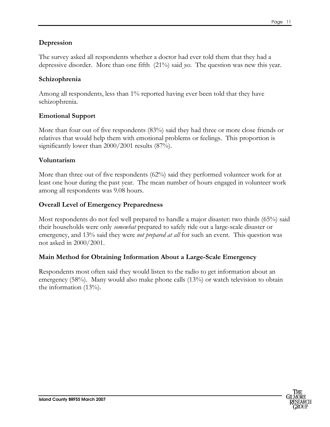#### Depression

The survey asked all respondents whether a doctor had ever told them that they had a depressive disorder. More than one fifth (21%) said *yes*. The question was new this year.

#### Schizophrenia

Among all respondents, less than 1% reported having ever been told that they have schizophrenia.

#### Emotional Support

More than four out of five respondents (83%) said they had three or more close friends or relatives that would help them with emotional problems or feelings. This proportion is significantly lower than 2000/2001 results (87%).

#### Voluntarism

More than three out of five respondents (62%) said they performed volunteer work for at least one hour during the past year. The mean number of hours engaged in volunteer work among all respondents was 9.08 hours.

#### Overall Level of Emergency Preparedness

Most respondents do not feel well prepared to handle a major disaster: two thirds (65%) said their households were only *somewhat* prepared to safely ride out a large-scale disaster or emergency, and 13% said they were *not prepared at all* for such an event. This question was not asked in 2000/2001.

#### Main Method for Obtaining Information About a Large-Scale Emergency

Respondents most often said they would listen to the radio to get information about an emergency (58%). Many would also make phone calls (13%) or watch television to obtain the information (13%).

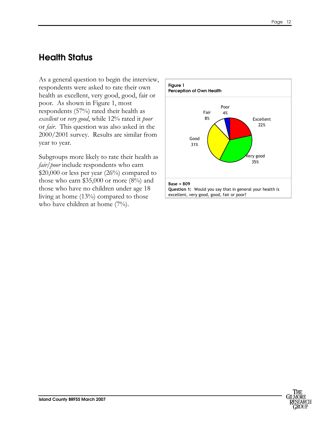### <span id="page-14-0"></span>Health Status

As a general question to begin the interview, respondents were asked to rate their own health as excellent, very good, good, fair or poor. As shown in Figure 1, most respondents (57%) rated their health as excellent or very good, while 12% rated it poor or fair. This question was also asked in the 2000/2001 survey. Results are similar from year to year.

Subgroups more likely to rate their health as fair/poor include respondents who earn \$20,000 or less per year (26%) compared to those who earn \$35,000 or more  $(8\%)$  and those who have no children under age 18 living at home (13%) compared to those who have children at home (7%).

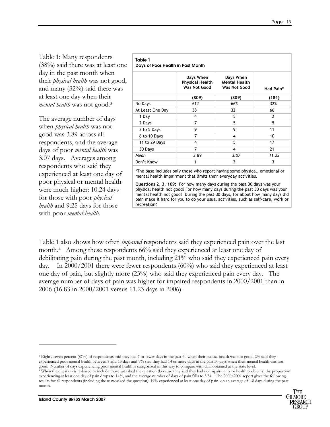Table 1: Many respondents (38%) said there was at least one day in the past month when their *physical health* was not good, and many (32%) said there was at least one day when their mental health was not good.<sup>3</sup>

The average number of days when *physical health* was not good was 3.89 across all respondents, and the average days of poor *mental health* was 3.07 days. Averages among respondents who said they experienced at least one day of poor physical or mental health were much higher: 10.24 days for those with poor *physical* health and 9.25 days for those with poor *mental health*.

#### Table 1 Days of Poor Health in Past Month

| <b>Puty</b> of 1 001 Health in 1 as Mohin |                                                            |                                                          |                |
|-------------------------------------------|------------------------------------------------------------|----------------------------------------------------------|----------------|
|                                           | Days When<br><b>Physical Health</b><br><b>Was Not Good</b> | Days When<br><b>Mental Health</b><br><b>Was Not Good</b> | Had Pain*      |
|                                           | (809)                                                      | (809)                                                    | (181)          |
| No Days                                   | 61%                                                        | 66%                                                      | 32%            |
| At Least One Day                          | 38                                                         | 32                                                       | 66             |
| 1 Day                                     | 4                                                          | 5                                                        | $\overline{2}$ |
| 2 Days                                    | 7                                                          | 5                                                        | 5              |
| 3 to 5 Days                               | 9                                                          | 9                                                        | 11             |
| 6 to 10 Days                              | 7                                                          | 4                                                        | 10             |
| 11 to 29 Days                             | 4                                                          | 5                                                        | 17             |
| 30 Days                                   | 7                                                          | 4                                                        | 21             |
| Mean                                      | 3.89                                                       | 3.07                                                     | 11.23          |
| Don't Know                                |                                                            | 2                                                        | 3              |

\*The base includes only those who report having some physical, emotional or mental health impairment that limits their everyday activities.

Questions 2, 3, 109: For how many days during the past 30 days was your physical health not good? For how many days during the past 30 days was your mental health not good? During the past 30 days, for about how many days did pain make it hard for you to do your usual activities, such as self-care, work or recreation?

Table 1 also shows how often *impaired* respondents said they experienced pain over the last month.<sup>4</sup> Among these respondents 66% said they experienced at least one day of debilitating pain during the past month, including 21% who said they experienced pain every day. In 2000/2001 there were fewer respondents (60%) who said they experienced at least one day of pain, but slightly more (23%) who said they experienced pain every day. The average number of days of pain was higher for impaired respondents in 2000/2001 than in 2006 (16.83 in 2000/2001 versus 11.23 days in 2006).

<sup>&</sup>lt;sup>4</sup> When the question is re-based to include those not asked the question (because they said they had no impairments or health problems) the proportion experiencing at least one day of pain drops to 14%, and the average number of days of pain falls to 3.84. The 2000/2001 report gives the following results for all respondents (including those not asked the question): 19% experienced at least one day of pain, on an average of 1.8 days during the past month.



-

<sup>3</sup> Eighty-seven percent (87%) of respondents said they had 7 or fewer days in the past 30 when their mental health was not good, 2% said they experienced poor mental health between 8 and 13 days and 9% said they had 14 or more days in the past 30 days when their mental health was not good. Number of days experiencing poor mental health is categorized in this way to compare with data obtained at the state level.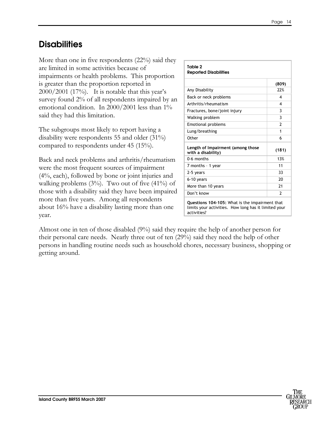## <span id="page-16-0"></span>**Disabilities**

More than one in five respondents (22%) said they are limited in some activities because of impairments or health problems. This proportion is greater than the proportion reported in  $2000/2001$  (17%). It is notable that this year's survey found 2% of all respondents impaired by an emotional condition. In 2000/2001 less than 1% said they had this limitation.

The subgroups most likely to report having a disability were respondents 55 and older (31%) compared to respondents under 45 (15%).

Back and neck problems and arthritis/rheumatism were the most frequent sources of impairment (4%, each), followed by bone or joint injuries and walking problems  $(3%)$ . Two out of five  $(41%)$  of those with a disability said they have been impaired more than five years. Among all respondents about 16% have a disability lasting more than one year.

| Table 2                                                                                                               |               |
|-----------------------------------------------------------------------------------------------------------------------|---------------|
| <b>Reported Disabilities</b>                                                                                          |               |
|                                                                                                                       | (809)         |
| Any Disability                                                                                                        | 72%           |
| Back or neck problems                                                                                                 | 4             |
| Arthritis/rheumatism                                                                                                  | 4             |
| Fractures, bone/joint injury                                                                                          | 3             |
| Walking problem                                                                                                       | 3             |
| <b>Emotional problems</b>                                                                                             | $\mathfrak z$ |
| Lung/breathing                                                                                                        | 1             |
| Other                                                                                                                 | 6             |
| Length of Impairment (among those<br>with a disability)                                                               | (181)         |
| 0-6 months                                                                                                            | 13%           |
| 7 months - 1 year                                                                                                     | 11            |
| 2-5 years                                                                                                             | 33            |
| 6-10 years                                                                                                            | 20            |
| More than 10 years                                                                                                    | 21            |
| Don't know                                                                                                            | $\mathfrak z$ |
| Questions 104-105: What is the impairment that<br>limits your activities. How long has it limited your<br>activities? |               |

Almost one in ten of those disabled (9%) said they require the help of another person for their personal care needs. Nearly three out of ten (29%) said they need the help of other persons in handling routine needs such as household chores, necessary business, shopping or getting around.

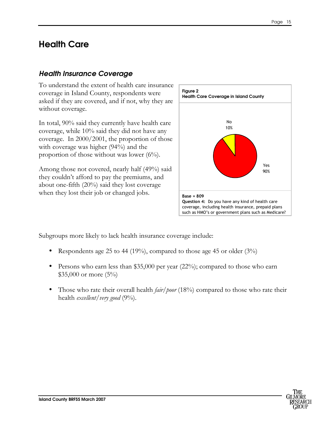### <span id="page-17-0"></span>Health Care

#### Health Insurance Coverage

To understand the extent of health care insurance coverage in Island County, respondents were asked if they are covered, and if not, why they are without coverage.

In total, 90% said they currently have health care coverage, while 10% said they did not have any coverage. In 2000/2001, the proportion of those with coverage was higher (94%) and the proportion of those without was lower (6%).

Among those not covered, nearly half (49%) said they couldn't afford to pay the premiums, and about one-fifth (20%) said they lost coverage when they lost their job or changed jobs.



Subgroups more likely to lack health insurance coverage include:

- Respondents age 25 to 44 (19%), compared to those age 45 or older (3%)
- Persons who earn less than \$35,000 per year (22%); compared to those who earn \$35,000 or more (5%)
- Those who rate their overall health *fair/poor* (18%) compared to those who rate their health *excellent*/*very* good  $(9\%)$ .

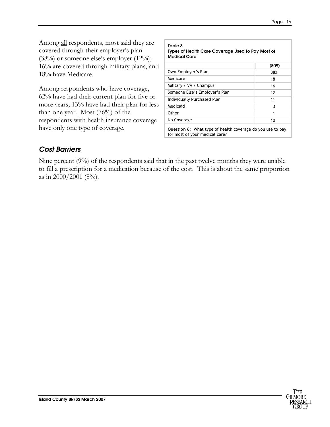<span id="page-18-0"></span>Among <u>all</u> respondents, most said they are covered through their employer's plan  $(38%)$  or someone else's employer  $(12%)$ ; 16% are covered through military plans, and 18% have Medicare.

Among respondents who have coverage, 62% have had their current plan for five or more years; 13% have had their plan for less than one year. Most (76%) of the respondents with health insurance coverage have only one type of coverage.

| Table 3<br>Types of Health Care Coverage Used to Pay Most of<br><b>Medical Care</b>                 |       |  |
|-----------------------------------------------------------------------------------------------------|-------|--|
|                                                                                                     | (809) |  |
| Own Employer's Plan                                                                                 | 38%   |  |
| Medicare                                                                                            | 18    |  |
| Military / VA / Champus                                                                             | 16    |  |
| Someone Else's Employer's Plan                                                                      | 12    |  |
| Individually Purchased Plan                                                                         | 11    |  |
| Medicaid                                                                                            | 3     |  |
| Other                                                                                               | 1     |  |
| No Coverage                                                                                         | 10    |  |
| <b>Question 6:</b> What type of health coverage do you use to pay<br>for most of your medical care? |       |  |

#### Cost Barriers

Nine percent (9%) of the respondents said that in the past twelve months they were unable to fill a prescription for a medication because of the cost. This is about the same proportion as in  $2000/2001$  (8%).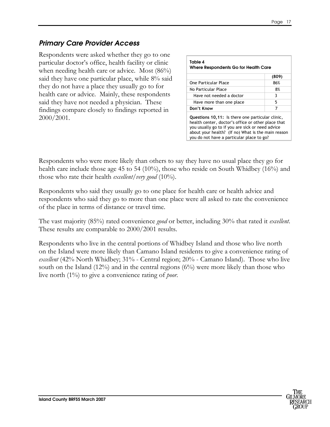#### <span id="page-19-0"></span>Primary Care Provider Access

Respondents were asked whether they go to one particular doctor's office, health facility or clinic when needing health care or advice. Most (86%) said they have one particular place, while 8% said they do not have a place they usually go to for health care or advice. Mainly, these respondents said they have not needed a physician. These findings compare closely to findings reported in 2000/2001.

| Table 4<br>Where Respondents Go for Health Care                                                                                                                                                                                                               |       |  |
|---------------------------------------------------------------------------------------------------------------------------------------------------------------------------------------------------------------------------------------------------------------|-------|--|
|                                                                                                                                                                                                                                                               | (809) |  |
| One Particular Place                                                                                                                                                                                                                                          | 86%   |  |
| No Particular Place                                                                                                                                                                                                                                           | 8%    |  |
| Have not needed a doctor                                                                                                                                                                                                                                      | 3     |  |
| Have more than one place                                                                                                                                                                                                                                      | 5     |  |
| Don't Know                                                                                                                                                                                                                                                    | 7     |  |
| Questions 10,11: Is there one particular clinic,<br>health center, doctor's office or other place that<br>you usually go to if you are sick or need advice<br>about your health? (If no) What is the main reason<br>you do not have a particular place to go? |       |  |

Respondents who were more likely than others to say they have no usual place they go for health care include those age 45 to 54 (10%), those who reside on South Whidbey (16%) and those who rate their health *excellent*/very good  $(10\%)$ .

Respondents who said they usually go to one place for health care or health advice and respondents who said they go to more than one place were all asked to rate the convenience of the place in terms of distance or travel time.

The vast majority (85%) rated convenience *good* or better, including 30% that rated it *excellent*. These results are comparable to 2000/2001 results.

Respondents who live in the central portions of Whidbey Island and those who live north on the Island were more likely than Camano Island residents to give a convenience rating of excellent (42% North Whidbey; 31% - Central region; 20% - Camano Island). Those who live south on the Island  $(12\%)$  and in the central regions  $(6\%)$  were more likely than those who live north (1%) to give a convenience rating of poor.

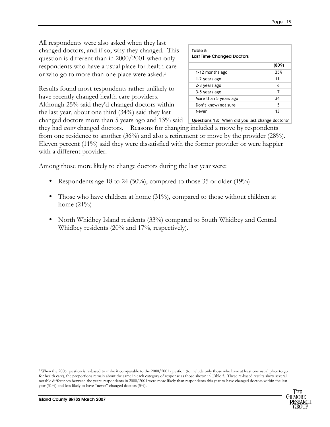All respondents were also asked when they last changed doctors, and if so, why they changed. This question is different than in 2000/2001 when only respondents who have a usual place for health care or who go to more than one place were asked.<sup>5</sup>

Results found most respondents rather unlikely to have recently changed health care providers. Although 25% said they'd changed doctors within the last year, about one third (34%) said they last

| Table 5<br><b>Last Time Changed Doctors</b> |       |
|---------------------------------------------|-------|
|                                             | (809) |
| 1-12 months ago                             | 25%   |
| 1-2 years ago                               | 11    |
| 2-3 years ago                               | 6     |
| 3-5 years age                               | 7     |
| More than 5 years ago                       | 34    |
| Don't know/not sure                         | 5     |
| Never                                       | 13    |

changed doctors more than 5 years ago and 13% said <u>Questions 13:</u> When did you last change doctors?

they had *never* changed doctors. Reasons for changing included a move by respondents from one residence to another (36%) and also a retirement or move by the provider (28%). Eleven percent (11%) said they were dissatisfied with the former provider or were happier with a different provider.

Among those more likely to change doctors during the last year were:

- Respondents age 18 to 24 (50%), compared to those 35 or older (19%)
- Those who have children at home (31%), compared to those without children at home  $(21\%)$
- North Whidbey Island residents (33%) compared to South Whidbey and Central Whidbey residents (20% and 17%, respectively).

<sup>&</sup>lt;sup>5</sup> When the 2006 question is re-based to make it comparable to the 2000/2001 question (to include only those who have at least one usual place to go for health care), the proportions remain about the same in each category of response as those shown in Table 5. These re-based results show several notable differences between the years: respondents in 2000/2001 were more likely than respondents this year to have changed doctors within the last year (31%) and less likely to have "never" changed doctors (5%).



-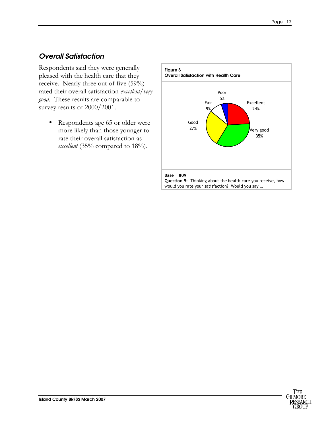#### <span id="page-21-0"></span>Overall Satisfaction

Respondents said they were generally pleased with the health care that they receive. Nearly three out of five (59%) rated their overall satisfaction excellent/very good. These results are comparable to survey results of 2000/2001.

• Respondents age 65 or older were more likely than those younger to rate their overall satisfaction as excellent (35% compared to  $18\%$ ).



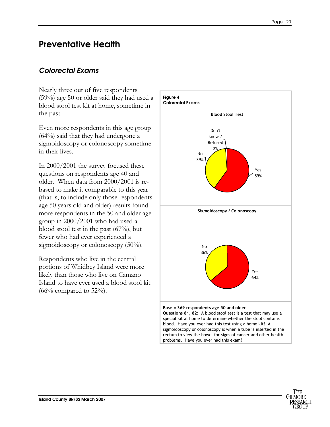### <span id="page-22-0"></span>Preventative Health

#### Colorectal Exams

Nearly three out of five respondents (59%) age 50 or older said they had used a blood stool test kit at home, sometime in the past.

Even more respondents in this age group (64%) said that they had undergone a sigmoidoscopy or colonoscopy sometime in their lives.

In 2000/2001 the survey focused these questions on respondents age 40 and older. When data from 2000/2001 is rebased to make it comparable to this year (that is, to include only those respondents age 50 years old and older) results found more respondents in the 50 and older age group in 2000/2001 who had used a blood stool test in the past (67%), but fewer who had ever experienced a sigmoidoscopy or colonoscopy (50%).

Respondents who live in the central portions of Whidbey Island were more likely than those who live on Camano Island to have ever used a blood stool kit  $(66\%$  compared to 52%).

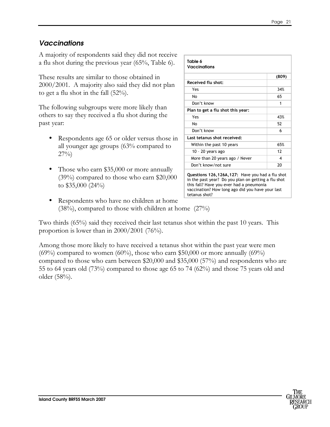#### <span id="page-23-0"></span>**Vaccinations**

A majority of respondents said they did not receive a flu shot during the previous year (65%, Table 6).

These results are similar to those obtained in 2000/2001. A majority also said they did not plan to get a flu shot in the fall (52%).

The following subgroups were more likely than others to say they received a flu shot during the past year:

- Respondents age 65 or older versus those in all younger age groups (63% compared to  $27\%)$
- Those who earn \$35,000 or more annually (39%) compared to those who earn \$20,000 to \$35,000 (24%)
- Respondents who have no children at home  $(38\%)$ , compared to those with children at home  $(27\%)$

Two thirds (65%) said they received their last tetanus shot within the past 10 years. This proportion is lower than in 2000/2001 (76%).

Among those more likely to have received a tetanus shot within the past year were men  $(69\%)$  compared to women  $(60\%)$ , those who earn \$50,000 or more annually  $(69\%)$ compared to those who earn between \$20,000 and \$35,000 (57%) and respondents who are 55 to 64 years old (73%) compared to those age 65 to 74 (62%) and those 75 years old and older (58%).

| Table 6<br><b>Vaccinations</b>    |       |
|-----------------------------------|-------|
|                                   |       |
|                                   | (809) |
| Received flu shot:                |       |
| Yes                               | 34%   |
| No                                | 65    |
| Don't know                        | 1     |
| Plan to get a flu shot this year: |       |
| Yes                               | 43%   |
| No                                | 52    |
| Don't know                        | 6     |
| Last tetanus shot received:       |       |
| Within the past 10 years          | 65%   |
| 10 - 20 years ago                 | 12    |
| More than 20 years ago / Never    | 4     |
| Don't know/not sure               | 20    |

Questions 126,126A,127: Have you had a flu shot in the past year? Do you plan on getting a flu shot this fall? Have you ever had a pneumonia vaccination? How long ago did you have your last tetanus shot?

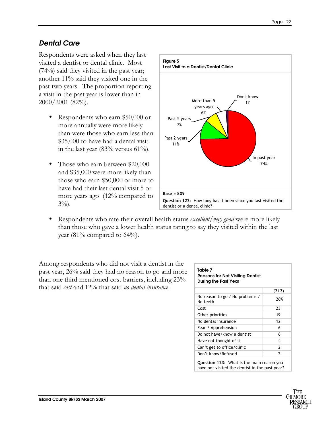#### <span id="page-24-0"></span>Dental Care

Respondents were asked when they last visited a dentist or dental clinic. Most (74%) said they visited in the past year; another 11% said they visited one in the past two years. The proportion reporting a visit in the past year is lower than in 2000/2001 (82%).

- Respondents who earn \$50,000 or more annually were more likely than were those who earn less than \$35,000 to have had a dental visit in the last year  $(83\% \text{ versus } 61\%).$
- Those who earn between \$20,000 and \$35,000 were more likely than those who earn \$50,000 or more to have had their last dental visit 5 or more years ago (12% compared to  $3\%$ ).



Respondents who rate their overall health status *excellent/very good* were more likely than those who gave a lower health status rating to say they visited within the last year (81% compared to  $64\%$ ).

Among respondents who did not visit a dentist in the past year, 26% said they had no reason to go and more than one third mentioned cost barriers, including 23% that said cost and 12% that said no dental insurance.

| Table 7<br><b>Reasons for Not Visiting Dentist</b><br><b>During the Past Year</b>           |               |
|---------------------------------------------------------------------------------------------|---------------|
|                                                                                             | (212)         |
| No reason to go / No problems /<br>No teeth                                                 | 26%           |
| Cost                                                                                        | 23            |
| Other priorities                                                                            | 19            |
| No dental insurance                                                                         | 12            |
| Fear / Apprehension                                                                         | 6             |
| Do not have/know a dentist                                                                  | 6             |
| Have not thought of it                                                                      | 4             |
| Can't get to office/clinic                                                                  | $\mathcal{P}$ |
| Don't know/Refused                                                                          | $\mathfrak z$ |
| Question 123: What is the main reason you<br>have not visited the dentist in the past year? |               |

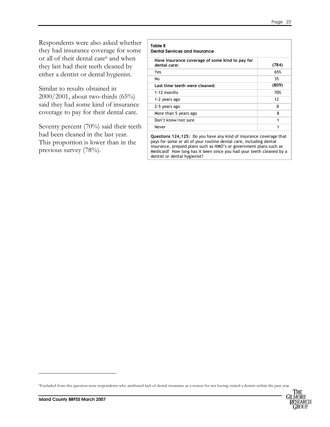Respondents were also asked whether they had insurance coverage for some or all of their dental care<sup>6</sup> and when they last had their teeth cleaned by either a dentist or dental hygienist.

Similar to results obtained in 2000/2001, about two-thirds (65%) said they had some kind of insurance coverage to pay for their dental care.

Seventy percent (70%) said their teeth had been cleaned in the last year. This proportion is lower than in the previous survey (78%).

| Table 8<br><b>Dental Services and Insurance</b>                 |       |
|-----------------------------------------------------------------|-------|
| Have insurance coverage of some kind to pay for<br>dental care: | (784) |
| Yes                                                             | 65%   |
| No                                                              | 35    |
| Last time teeth were cleaned:                                   | (809) |
| $1-12$ months                                                   | 70%   |
| 1-2 years ago                                                   | 12    |
| 2-5 years ago                                                   | 8     |
| More than 5 years ago                                           | 8     |
| Don't know/not sure                                             | 1     |
| Never                                                           | 1     |

Questions 124,125: Do you have any kind of insurance coverage that pays for some or all of your routine dental care, including dental insurance, prepaid plans such as HMO's or government plans such as Medicaid? How long has it been since you had your teeth cleaned by a dentist or dental hygienist?

<sup>6</sup>Excluded from this question were respondents who attributed lack of dental insurance as a reason for not having visited a dentist within the past year.



-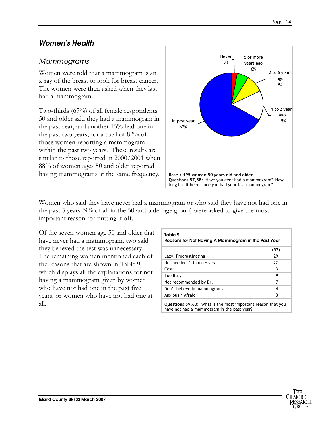#### <span id="page-26-0"></span>Women's Health

#### Mammograms

Women were told that a mammogram is an x-ray of the breast to look for breast cancer. The women were then asked when they last had a mammogram.

Two-thirds (67%) of all female respondents 50 and older said they had a mammogram in the past year, and another 15% had one in the past two years, for a total of 82% of those women reporting a mammogram within the past two years. These results are similar to those reported in 2000/2001 when 88% of women ages 50 and older reported having mammograms at the same frequency.



Women who said they have never had a mammogram or who said they have not had one in the past 5 years (9% of all in the 50 and older age group) were asked to give the most important reason for putting it off.

Of the seven women age 50 and older that have never had a mammogram, two said they believed the test was unnecessary. The remaining women mentioned each of the reasons that are shown in Table 9, which displays all the explanations for not having a mammogram given by women who have not had one in the past five years, or women who have not had one at all.

| Table 9<br>Reasons for Not Having A Mammogram in the Past Year                                            |      |  |
|-----------------------------------------------------------------------------------------------------------|------|--|
|                                                                                                           | (57) |  |
| Lazy, Procrastinating                                                                                     | 29   |  |
| Not needed / Unnecessary                                                                                  | 22   |  |
| Cost                                                                                                      | 13   |  |
| <b>Too Busy</b>                                                                                           | 9    |  |
| Not recommended by Dr.                                                                                    | 7    |  |
| Don't believe in mammograms                                                                               | 4    |  |
| Anxious / Afraid                                                                                          | 3    |  |
| Questions 59,60: What is the most important reason that you<br>have not had a mammogram in the past year? |      |  |

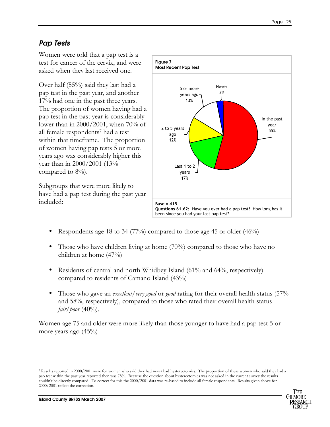#### Pap Tests

Women were told that a pap test is a test for cancer of the cervix, and were asked when they last received one.

Over half (55%) said they last had a pap test in the past year, and another 17% had one in the past three years. The proportion of women having had a pap test in the past year is considerably lower than in 2000/2001, when 70% of all female respondents<sup>7</sup> had a test within that timeframe. The proportion of women having pap tests 5 or more years ago was considerably higher this year than in 2000/2001 (13% compared to 8%).

Subgroups that were more likely to have had a pap test during the past year included:



- Respondents age 18 to 34 (77%) compared to those age 45 or older (46%)
- Those who have children living at home (70%) compared to those who have no children at home (47%)
- Residents of central and north Whidbey Island (61% and 64%, respectively) compared to residents of Camano Island (43%)
- Those who gave an *excellent/very good* or *good* rating for their overall health status (57% and 58%, respectively), compared to those who rated their overall health status  $fair/poor$  (40%).

Women age 75 and older were more likely than those younger to have had a pap test 5 or more years ago (45%)

<sup>7</sup> Results reported in 2000/2001 were for women who said they had never had hysterectomies. The proportion of these women who said they had a pap test within the past year reported then was 78%. Because the question about hysterectomies was not asked in the current survey the results couldn't be directly compared. To correct for this the 2000/2001 data was re-based to include all female respondents. Results given above for 2000/2001 reflect the correction.



-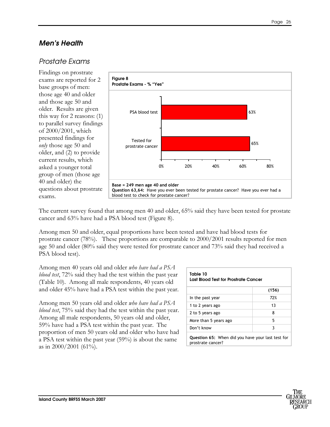#### <span id="page-28-0"></span>Men's Health

#### Prostate Exams

Findings on prostrate exams are reported for 2 base groups of men: those age 40 and older and those age 50 and older. Results are given this way for 2 reasons: (1) to parallel survey findings of 2000/2001, which presented findings for only those age 50 and older, and (2) to provide current results, which asked a younger total group of men (those age 40 and older) the questions about prostrate exams.



The current survey found that among men 40 and older, 65% said they have been tested for prostate cancer and 63% have had a PSA blood test (Figure 8).

Among men 50 and older, equal proportions have been tested and have had blood tests for prostrate cancer (78%). These proportions are comparable to 2000/2001 results reported for men age 50 and older (80% said they were tested for prostrate cancer and 73% said they had received a PSA blood test).

Among men 40 years old and older who have had a PSA blood test, 72% said they had the test within the past year (Table 10). Among all male respondents, 40 years old and older 45% have had a PSA test within the past year.

Among men 50 years old and older who have had a PSA *blood test*, 75% said they had the test within the past year. Among all male respondents, 50 years old and older, 59% have had a PSA test within the past year. The proportion of men 50 years old and older who have had a PSA test within the past year (59%) is about the same as in  $2000/2001$  (61%).

| Table 10<br>Last Blood Test for Prostrate Cancer                              |       |  |
|-------------------------------------------------------------------------------|-------|--|
|                                                                               | (156) |  |
| In the past year                                                              | 72%   |  |
| 1 to 2 years ago                                                              | 13    |  |
| 2 to 5 years ago                                                              | 8     |  |
| More than 5 years ago                                                         | 5     |  |
| Don't know                                                                    | 3     |  |
| <b>Question 65:</b> When did you have your last test for<br>prostrate cancer? |       |  |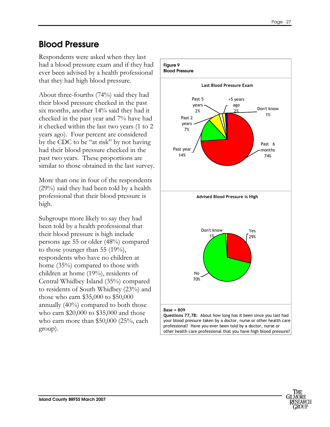## <span id="page-29-0"></span>Blood Pressure

Respondents were asked when they last had a blood pressure exam and if they had ever been advised by a health professional that they had high blood pressure.

About three-fourths (74%) said they had their blood pressure checked in the past six months, another 14% said they had it checked in the past year and 7% have had it checked within the last two years (1 to 2 years ago). Four percent are considered by the CDC to be "at risk" by not having had their blood pressure checked in the past two years. These proportions are similar to those obtained in the last survey.

More than one in four of the respondents (29%) said they had been told by a health professional that their blood pressure is high.

Subgroups more likely to say they had been told by a health professional that their blood pressure is high include persons age 55 or older (48%) compared to those younger than 55  $(19\%)$ , respondents who have no children at home (35%) compared to those with children at home (19%), residents of Central Whidbey Island (35%) compared to residents of South Whidbey (23%) and those who earn \$35,000 to \$50,000 annually (40%) compared to both those who earn \$20,000 to \$35,000 and those who earn more than \$50,000 (25%, each group).



Questions 77,78: About how long has it been since you last had your blood pressure taken by a doctor, nurse or other health care professional? Have you ever been told by a doctor, nurse or other health care professional that you have high blood pressure?

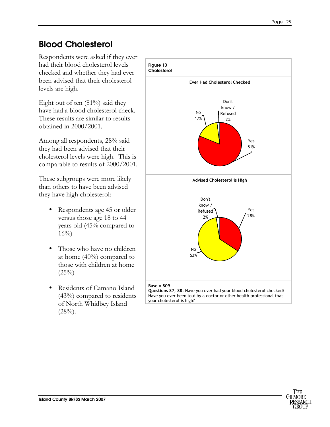## <span id="page-30-0"></span>Blood Cholesterol

Respondents were asked if they ever had their blood cholesterol levels checked and whether they had ever been advised that their cholesterol levels are high.

Eight out of ten (81%) said they have had a blood cholesterol check. These results are similar to results obtained in 2000/2001.

Among all respondents, 28% said they had been advised that their cholesterol levels were high. This is comparable to results of 2000/2001.

These subgroups were more likely than others to have been advised they have high cholesterol:

- Respondents age 45 or older versus those age 18 to 44 years old (45% compared to  $16\%)$
- Those who have no children at home (40%) compared to those with children at home  $(25\%)$
- Residents of Camano Island (43%) compared to residents of North Whidbey Island  $(28%)$ .



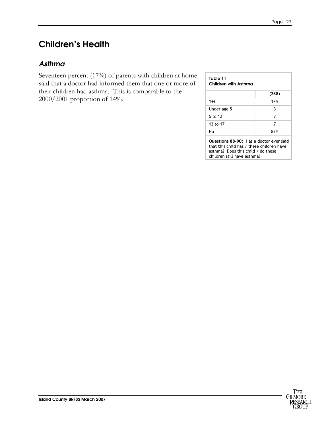## <span id="page-31-0"></span>Children's Health

#### Asthma

Seventeen percent (17%) of parents with children at home said that a doctor had informed them that one or more of their children had asthma. This is comparable to the 2000/2001 proportion of 14%.

#### Table 11 Children with Asthma

|             | (288) |
|-------------|-------|
| Yes         | 17%   |
| Under age 5 | 3     |
| 5 to 12     |       |
| 13 to 17    |       |
| No          | 83%   |

Questions 88-90: Has a doctor ever said that this child has / these children have asthma? Does this child / do these children still have asthma?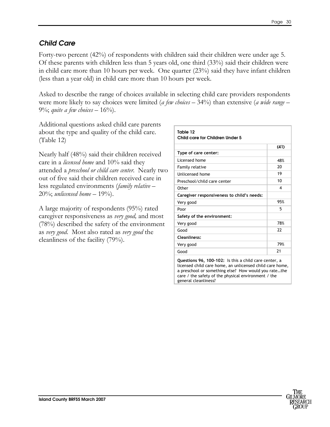#### <span id="page-32-0"></span>Child Care

Forty-two percent (42%) of respondents with children said their children were under age 5. Of these parents with children less than 5 years old, one third (33%) said their children were in child care more than 10 hours per week. One quarter (23%) said they have infant children (less than a year old) in child care more than 10 hours per week.

Asked to describe the range of choices available in selecting child care providers respondents were more likely to say choices were limited (*a few choices*  $-$  34%) than extensive (*a wide range*  $-$ 9%; quite a few choices  $-16%$ .

Additional questions asked child care parents about the type and quality of the child care. (Table 12)

Nearly half (48%) said their children received care in a *licensed home* and 10% said they attended a preschool or child care center. Nearly two out of five said their children received care in less regulated environments (family relative – 20%; unlicensed home  $-19%$ .

A large majority of respondents (95%) rated caregiver responsiveness as *very good*, and most (78%) described the safety of the environment as very good. Most also rated as very good the cleanliness of the facility (79%).

| Table 12<br>Child care for Children Under 5 |      |
|---------------------------------------------|------|
|                                             | (41) |
| Type of care center:                        |      |
| Licensed home                               | 48%  |
| Family relative                             | 20   |
| Unlicensed home                             | 19   |
| Preschool/child care center                 | 10   |
| Other                                       | 4    |
| Caregiver responsiveness to child's needs:  |      |
| Very good                                   | 95%  |
| Poor                                        | 5    |
| Safety of the environment:                  |      |
| Very good                                   | 78%  |
| Good                                        | 22   |
| <b>Cleanliness:</b>                         |      |
| Very good                                   | 79%  |
| Good                                        | 21   |

Questions 96, 100-102: Is this a child care center, a licensed child care home, an unlicensed child care home, a preschool or something else? How would you rate…the care / the safety of the physical environment / the general cleanliness?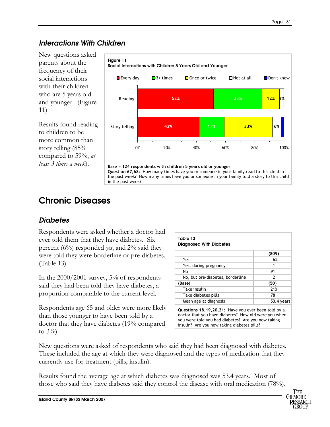### <span id="page-33-0"></span>Interactions With Children

New questions asked parents about the frequency of their social interactions with their children who are 5 years old and younger. (Figure 11)

Results found reading to children to be more common than story telling (85% compared to 59%, at least 3 times a week).



Question 67,68: How many times have you or someone in your family read to this child in the past week? How many times have you or someone in your family told a story to this child in the past week?

## Chronic Diseases

### **Diabetes**

Respondents were asked whether a doctor had ever told them that they have diabetes. Six percent  $(6\%)$  responded *yes*, and  $2\%$  said they were told they were borderline or pre-diabetes. (Table 13)

In the 2000/2001 survey, 5% of respondents said they had been told they have diabetes, a proportion comparable to the current level.

Respondents age 65 and older were more likely than those younger to have been told by a doctor that they have diabetes (19% compared to  $3\%$ ).

| Table 13<br><b>Diagnosed With Diabetes</b>                                                                                                                           |               |  |
|----------------------------------------------------------------------------------------------------------------------------------------------------------------------|---------------|--|
|                                                                                                                                                                      | (809)         |  |
| Yes                                                                                                                                                                  | 6%            |  |
| Yes, during pregnancy                                                                                                                                                |               |  |
| No                                                                                                                                                                   | 91            |  |
| No, but pre-diabetes, borderline                                                                                                                                     | $\mathcal{P}$ |  |
| (Base)                                                                                                                                                               | (50)          |  |
| Take insulin                                                                                                                                                         | 21%           |  |
| Take diabetes pills                                                                                                                                                  | 78            |  |
| Mean age at diagnosis                                                                                                                                                | 53.4 years    |  |
| Questions 18, 19, 20, 21: Have you ever been told by a<br>doctor that you have diabetes? How old were you when<br>vou were told you had diabetes? Are you now taking |               |  |

were told you had diabete insulin? Are you now taking diabetes pills?

New questions were asked of respondents who said they had been diagnosed with diabetes. These included the age at which they were diagnosed and the types of medication that they currently use for treatment (pills, insulin).

Results found the average age at which diabetes was diagnosed was 53.4 years. Most of those who said they have diabetes said they control the disease with oral medication (78%).

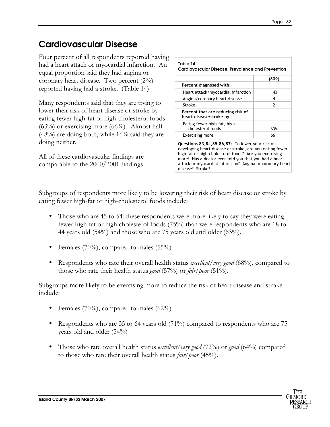## Cardiovascular Disease

Four percent of all respondents reported having had a heart attack or myocardial infarction. An equal proportion said they had angina or coronary heart disease. Two percent (2%) reported having had a stroke. (Table 14)

Many respondents said that they are trying to lower their risk of heart disease or stroke by eating fewer high-fat or high-cholesterol foods  $(63%)$  or exercising more  $(66%)$ . Almost half  $(48%)$  are doing both, while 16% said they are doing neither.

All of these cardiovascular findings are comparable to the 2000/2001 findings.

| Table 14<br>Cardiovascular Disease: Prevalence and Prevention                                                                                                         |               |  |
|-----------------------------------------------------------------------------------------------------------------------------------------------------------------------|---------------|--|
|                                                                                                                                                                       | (809)         |  |
| Percent diagnosed with:                                                                                                                                               |               |  |
| Heart attack/myocardial infarction                                                                                                                                    | 4%            |  |
| Angina/coronary heart disease                                                                                                                                         | 4             |  |
| Stroke                                                                                                                                                                | $\mathcal{P}$ |  |
| Percent that are reducing risk of<br>heart disease/stroke by:                                                                                                         |               |  |
| Eating fewer high-fat, high-<br>cholesterol foods                                                                                                                     | 63%           |  |
| <b>Exercising more</b>                                                                                                                                                | 66            |  |
| Questions 83,84,85,86,87: To lower your risk of<br>developing heart disease or stroke, are you eating fewer<br>high fat or high-cholesterol foods? Are you exercising |               |  |

high fat or high-cholesterol foods? Are you exercising more? Has a doctor ever told you that you had a heart attack or myocardial infarction? Angina or coronary heart disease? Stroke?

Subgroups of respondents more likely to be lowering their risk of heart disease or stroke by eating fewer high-fat or high-cholesterol foods include:

- Those who are 45 to 54: these respondents were more likely to say they were eating fewer high fat or high cholesterol foods (75%) than were respondents who are 18 to 44 years old (54%) and those who are 75 years old and older (63%).
- Females  $(70\%)$ , compared to males  $(55\%)$
- Respondents who rate their overall health status *excellent* / very good (68%), compared to those who rate their health status *good* (57%) or *fair/poor* (51%).

Subgroups more likely to be exercising more to reduce the risk of heart disease and stroke include:

- Females (70%), compared to males (62%)
- Respondents who are 35 to 64 years old (71%) compared to respondents who are 75 years old and older (54%)
- Those who rate overall health status *excellent/very good* (72%) or *good* (64%) compared to those who rate their overall health status *fair/poor* (45%).

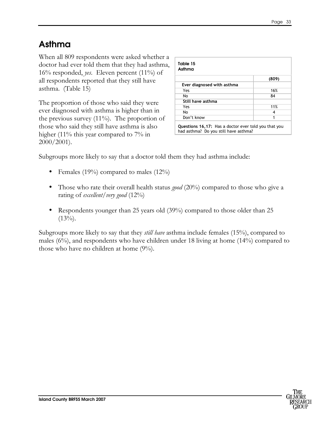## Asthma

When all 809 respondents were asked whether a doctor had ever told them that they had asthma, 16% responded, *yes*. Eleven percent  $(11\%)$  of all respondents reported that they still have asthma. (Table 15)

The proportion of those who said they were ever diagnosed with asthma is higher than in the previous survey  $(11\%)$ . The proportion of those who said they still have asthma is also higher (11% this year compared to 7% in 2000/2001).

| Asthma                     |       |  |
|----------------------------|-------|--|
|                            | (809) |  |
| Ever diagnosed with asthma |       |  |
| Yes                        | 16%   |  |
| No                         | 84    |  |
| Still have asthma          |       |  |
| Yes                        | 11%   |  |
| No                         | 4     |  |
| Don't know                 | 1     |  |

Subgroups more likely to say that a doctor told them they had asthma include:

- Females (19%) compared to males (12%)
- Those who rate their overall health status *good* (20%) compared to those who give a rating of *excellent*/*very* good  $(12\%)$
- Respondents younger than 25 years old (39%) compared to those older than 25  $(13\%)$ .

Subgroups more likely to say that they *still have* asthma include females (15%), compared to males (6%), and respondents who have children under 18 living at home (14%) compared to those who have no children at home (9%).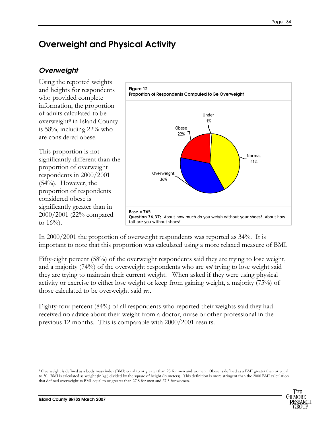# Overweight and Physical Activity

## **Overweight**

Using the reported weights and heights for respondents who provided complete information, the proportion of adults calculated to be overweight<sup>8</sup> in Island County is 58%, including 22% who are considered obese.

This proportion is not significantly different than the proportion of overweight respondents in 2000/2001  $(54%)$ . However, the proportion of respondents considered obese is significantly greater than in 2000/2001 (22% compared to  $16\%$ ).



In 2000/2001 the proportion of overweight respondents was reported as 34%. It is important to note that this proportion was calculated using a more relaxed measure of BMI.

Fifty-eight percent (58%) of the overweight respondents said they are trying to lose weight, and a majority (74%) of the overweight respondents who are not trying to lose weight said they are trying to maintain their current weight. When asked if they were using physical activity or exercise to either lose weight or keep from gaining weight, a majority (75%) of those calculated to be overweight said yes.

Eighty-four percent (84%) of all respondents who reported their weights said they had received no advice about their weight from a doctor, nurse or other professional in the previous 12 months. This is comparable with 2000/2001 results.

<sup>8</sup> Overweight is defined as a body mass index (BMI) equal to or greater than 25 for men and women. Obese is defined as a BMI greater than or equal to 30. BMI is calculated as weight (in kg.) divided by the square of height (in meters). This definition is more stringent than the 2000 BMI calculation that defined overweight as BMI equal to or greater than 27.8 for men and 27.3 for women.



-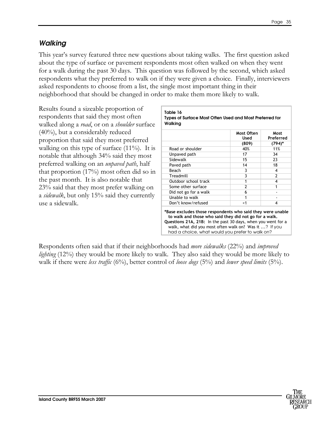### **Walking**

This year's survey featured three new questions about taking walks. The first question asked about the type of surface or pavement respondents most often walked on when they went for a walk during the past 30 days. This question was followed by the second, which asked respondents what they preferred to walk on if they were given a choice. Finally, interviewers asked respondents to choose from a list, the single most important thing in their neighborhood that should be changed in order to make them more likely to walk.

Results found a sizeable proportion of respondents that said they most often walked along a *road*, or on a *shoulder* surface (40%), but a considerably reduced proportion that said they most preferred walking on this type of surface  $(11\%)$ . It is notable that although 34% said they most preferred walking on an unpaved path, half that proportion (17%) most often did so in the past month. It is also notable that 23% said that they most prefer walking on a *sidewall*, but only 15% said they currently use a sidewalk.

|                       | Used           | Most<br>Preferred |
|-----------------------|----------------|-------------------|
|                       | (809)          | $(794)$ *         |
| Road or shoulder      | 40%            | 11%               |
| Unpaved path          | 17             | 34                |
| Sidewalk              | 15             | 23                |
| Paved path            | 14             | 18                |
| Beach                 | 3              | 4                 |
| Treadmill             | 3              | $\mathfrak z$     |
| Outdoor school track  | 1              | 4                 |
| Some other surface    | $\overline{2}$ | 1                 |
| Did not go for a walk | 6              |                   |
| Unable to walk        | 1              |                   |
| Don't know/refused    | $<$ 1          | 4                 |

Respondents often said that if their neighborhoods had *more sidewalks* (22%) and *improved lighting* (12%) they would be more likely to walk. They also said they would be more likely to walk if there were *less traffic* (6%), better control of *loose dogs* (5%) and *lower speed limits* (5%).

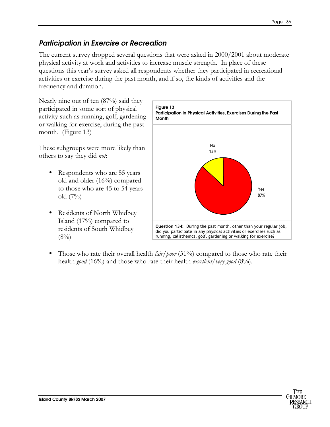## Participation in Exercise or Recreation

The current survey dropped several questions that were asked in 2000/2001 about moderate physical activity at work and activities to increase muscle strength. In place of these questions this year's survey asked all respondents whether they participated in recreational activities or exercise during the past month, and if so, the kinds of activities and the frequency and duration.

Nearly nine out of ten (87%) said they participated in some sort of physical activity such as running, golf, gardening or walking for exercise, during the past month. (Figure 13)

These subgroups were more likely than others to say they did not:

- Respondents who are 55 years old and older (16%) compared to those who are 45 to 54 years old (7%)
- Residents of North Whidbey Island (17%) compared to residents of South Whidbey  $(8\%)$



Those who rate their overall health  $\frac{fair/poor}{31\%}$  compared to those who rate their health good (16%) and those who rate their health excellent/very good (8%).

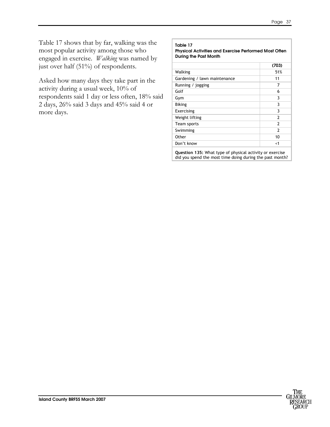Table 17 shows that by far, walking was the most popular activity among those who engaged in exercise. *Walking* was named by just over half (51%) of respondents.

Asked how many days they take part in the activity during a usual week, 10% of respondents said 1 day or less often, 18% said 2 days, 26% said 3 days and 45% said 4 or more days.

#### Table 17 Physical Activities and Exercise Performed Most Often During the Past Month (703) Walking 51% Gardening / lawn maintenance 11 Running / jogging 7  $\mathsf{Golf}$  6 Gym 3 Biking 3 Exercising 3 Weight lifting 2 Team sports 2 Swimming 2 Other 10

Question 135: What type of physical activity or exercise did you spend the most time doing during the past month?

Don't know  $\sim$  1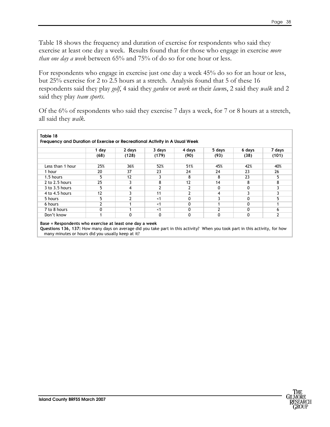Table 18 shows the frequency and duration of exercise for respondents who said they exercise at least one day a week. Results found that for those who engage in exercise more *than one day a week* between  $65%$  and  $75%$  of do so for one hour or less.

For respondents who engage in exercise just one day a week 45% do so for an hour or less, but 25% exercise for 2 to 2.5 hours at a stretch. Analysis found that 5 of these 16 respondents said they play golf, 4 said they garden or work on their lawns, 2 said they walk and 2 said they play *team sports*.

Of the 6% of respondents who said they exercise 7 days a week, for 7 or 8 hours at a stretch, all said they walk.

|                    | 1 day          | 2 days | 3 days | 4 days | 5 days | 6 days | 7 days |
|--------------------|----------------|--------|--------|--------|--------|--------|--------|
|                    | (68)           | (128)  | (179)  | (90)   | (93)   | (38)   | (101)  |
| Less than 1 hour   | 25%            | 36%    | 52%    | 51%    | 45%    | 42%    | 40%    |
| 1 hour             | 20             | 37     | 23     | 24     | 24     | 23     | 26     |
| 1.5 hours          | 5              | 12     | 3      | 8      | 8      | 23     | 5      |
| 2 to 2.5 hours     | 25             |        | 8      | 12     | 14     | 8      | 8      |
| $3$ to $3.5$ hours | 5              | 4      | 2      | 2      | 0      | 0      | 3      |
| 4 to 4.5 hours     | 12             |        | 11     | 2      | 4      | 3      | ٦      |
| 5 hours            | 5              |        | < 1    | 0      |        | 0      | 5      |
| 6 hours            | $\overline{2}$ |        | < 1    | 0      |        | 0      |        |
| 7 to 8 hours       | 0              |        | < 1    | 0      |        | 0      | 6      |
| Don't know         |                | 0      | 0      | 0      | 0      | 0      | 2      |

Questions 136, 137: How many days on average did you take part in this activity? When you took part in this activity, for how many minutes or hours did you usually keep at it?

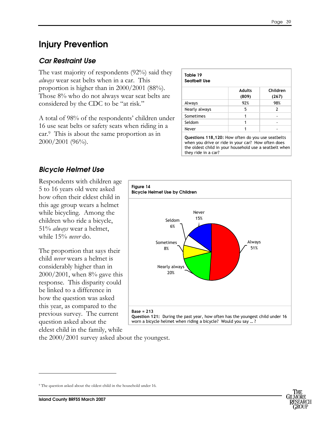# Injury Prevention

## Car Restraint Use

The vast majority of respondents (92%) said they always wear seat belts when in a car. This proportion is higher than in 2000/2001 (88%). Those 8% who do not always wear seat belts are considered by the CDC to be "at risk."

A total of 98% of the respondents' children under 16 use seat belts or safety seats when riding in a car.<sup>9</sup> This is about the same proportion as in 2000/2001 (96%).

|               | <b>Adults</b><br>(809) | Children<br>(267) |
|---------------|------------------------|-------------------|
| Always        | 92%                    | 98%               |
| Nearly always | 5                      | 2                 |
| Sometimes     |                        |                   |
| Seldom        |                        |                   |
| Never         |                        |                   |

## Bicycle Helmet Use

Respondents with children age 5 to 16 years old were asked how often their eldest child in this age group wears a helmet while bicycling. Among the children who ride a bicycle, 51% always wear a helmet, while 15% never do.

The proportion that says their child never wears a helmet is considerably higher than in 2000/2001, when 8% gave this response. This disparity could be linked to a difference in how the question was asked this year, as compared to the previous survey. The current question asked about the eldest child in the family, while



the 2000/2001 survey asked about the youngest.



-

<sup>9</sup> The question asked about the oldest child in the household under 16.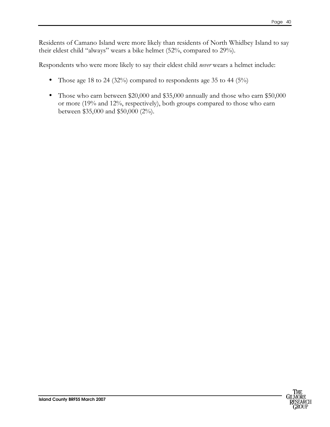Residents of Camano Island were more likely than residents of North Whidbey Island to say their eldest child "always" wears a bike helmet (52%, compared to 29%).

Respondents who were more likely to say their eldest child never wears a helmet include:

- Those age 18 to 24 (32%) compared to respondents age 35 to 44 (5%)
- Those who earn between \$20,000 and \$35,000 annually and those who earn \$50,000 or more (19% and 12%, respectively), both groups compared to those who earn between \$35,000 and \$50,000 (2%).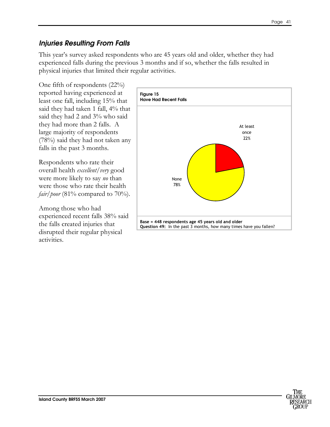### Injuries Resulting From Falls

This year's survey asked respondents who are 45 years old and older, whether they had experienced falls during the previous 3 months and if so, whether the falls resulted in physical injuries that limited their regular activities.

One fifth of respondents (22%) reported having experienced at least one fall, including 15% that said they had taken 1 fall, 4% that said they had 2 and 3% who said they had more than 2 falls. A large majority of respondents (78%) said they had not taken any falls in the past 3 months.

Respondents who rate their overall health excellent/very good were more likely to say *no* than were those who rate their health *fair/poor* (81% compared to 70%).

Among those who had experienced recent falls 38% said the falls created injuries that disrupted their regular physical activities.



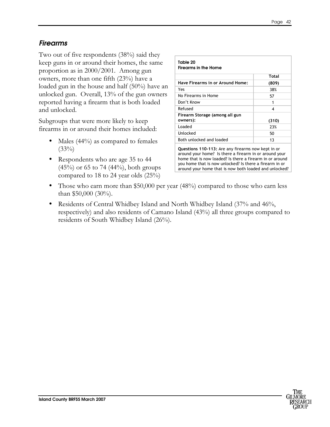### Firearms

Two out of five respondents (38%) said they keep guns in or around their homes, the same proportion as in 2000/2001. Among gun owners, more than one fifth (23%) have a loaded gun in the house and half (50%) have an unlocked gun. Overall, 13% of the gun owners reported having a firearm that is both loaded and unlocked.

Subgroups that were more likely to keep firearms in or around their homes included:

- Males (44%) as compared to females  $(33\%)$
- Respondents who are age 35 to 44  $(45%)$  or 65 to 74  $(44%)$ , both groups compared to 18 to 24 year olds (25%)

| Table 20<br>Firearms in the Home           |       |  |
|--------------------------------------------|-------|--|
|                                            | Total |  |
| Have Firearms in or Around Home:           | (809) |  |
| Yes                                        | 38%   |  |
| No Firearms in Home                        | 57    |  |
| Don't Know                                 | 1     |  |
| Refused                                    | 4     |  |
| Firearm Storage (among all gun<br>owners): | (310) |  |
| Loaded                                     | 23%   |  |
| Unlocked                                   | 50    |  |
| Both unlocked and loaded                   | 13    |  |

Questions 110-113: Are any firearms now kept in or around your home? Is there a firearm in or around your home that is now loaded? Is there a firearm in or around you home that is now unlocked? Is there a firearm in or around your home that is now both loaded and unlocked?

- Those who earn more than \$50,000 per year (48%) compared to those who earn less than \$50,000 (30%).
- Residents of Central Whidbey Island and North Whidbey Island (37% and 46%, respectively) and also residents of Camano Island (43%) all three groups compared to residents of South Whidbey Island (26%).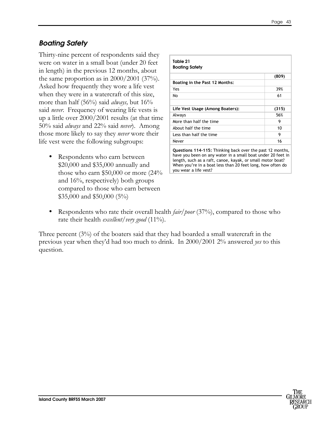## Boating Safety

Thirty-nine percent of respondents said they were on water in a small boat (under 20 feet in length) in the previous 12 months, about the same proportion as in  $2000/2001$  (37%). Asked how frequently they wore a life vest when they were in a watercraft of this size, more than half  $(56\%)$  said *always*, but  $16\%$ said *never*. Frequency of wearing life vests is up a little over 2000/2001 results (at that time 50% said *always* and 22% said *never*). Among those more likely to say they *never* wore their life vest were the following subgroups:

• Respondents who earn between \$20,000 and \$35,000 annually and those who earn \$50,000 or more (24% and 16%, respectively) both groups compared to those who earn between \$35,000 and \$50,000 (5%)

| Table 21<br><b>Boating Safety</b>                                                                                                                                                                                                                    |       |  |
|------------------------------------------------------------------------------------------------------------------------------------------------------------------------------------------------------------------------------------------------------|-------|--|
|                                                                                                                                                                                                                                                      | (809) |  |
| Boating in the Past 12 Months:                                                                                                                                                                                                                       |       |  |
| Yes                                                                                                                                                                                                                                                  | 39%   |  |
| No                                                                                                                                                                                                                                                   | 61    |  |
|                                                                                                                                                                                                                                                      |       |  |
| Life Vest Usage (Among Boaters):                                                                                                                                                                                                                     | (315) |  |
| Always                                                                                                                                                                                                                                               | 56%   |  |
| More than half the time                                                                                                                                                                                                                              | 9     |  |
| About half the time                                                                                                                                                                                                                                  | 10    |  |
| Less than half the time                                                                                                                                                                                                                              | 9     |  |
| Never                                                                                                                                                                                                                                                | 16    |  |
| Questions 114-115: Thinking back over the past 12 months,<br>have you been on any water in a small boat under 20 feet in<br>length, such as a raft, canoe, kayak, or small motor boat?<br>When you're in a boat less than 20 feet long, how often do |       |  |

• Respondents who rate their overall health *fair/poor* (37%), compared to those who rate their health *excellent*/*very good* (11%).

you wear a life vest?

Three percent (3%) of the boaters said that they had boarded a small watercraft in the previous year when they'd had too much to drink. In 2000/2001 2% answered yes to this question.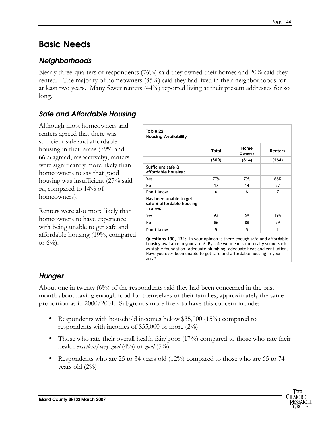# Basic Needs

### **Neighborhoods**

Nearly three-quarters of respondents (76%) said they owned their homes and 20% said they rented. The majority of homeowners (85%) said they had lived in their neighborhoods for at least two years. Many fewer renters (44%) reported living at their present addresses for so long.

### Safe and Affordable Housing

Although most homeowners and renters agreed that there was sufficient safe and affordable housing in their areas (79% and 66% agreed, respectively), renters were significantly more likely than homeowners to say that good housing was insufficient (27% said no, compared to 14% of homeowners).

Renters were also more likely than homeowners to have experience with being unable to get safe and affordable housing (19%, compared to  $6\%$ ).

| Table 22<br><b>Housing Availability</b>                         |       |                       |                |  |
|-----------------------------------------------------------------|-------|-----------------------|----------------|--|
|                                                                 | Total | Home<br><b>Owners</b> | Renters        |  |
|                                                                 | (809) | (614)                 | (164)          |  |
| Sufficient safe &<br>affordable housing:                        |       |                       |                |  |
| Yes                                                             | 77%   | 79%                   | 66%            |  |
| No                                                              | 17    | 14                    | 27             |  |
| Don't know                                                      | 6     | 6                     | 7              |  |
| Has been unable to get<br>safe & affordable housing<br>in area: |       |                       |                |  |
| Yes                                                             | 9%    | 6%                    | 19%            |  |
| No                                                              | 86    | 88                    | 79             |  |
| Don't know                                                      | 5     | 5                     | $\overline{2}$ |  |

Questions 130, 131: In your opinion is there enough safe and affordable housing available in your area? By safe we mean structurally sound such as stable foundation, adequate plumbing, adequate heat and ventilation. Have you ever been unable to get safe and affordable housing in your area?

### **Hunger**

About one in twenty  $(6\%)$  of the respondents said they had been concerned in the past month about having enough food for themselves or their families, approximately the same proportion as in 2000/2001. Subgroups more likely to have this concern include:

- Respondents with household incomes below \$35,000 (15%) compared to respondents with incomes of \$35,000 or more (2%)
- Those who rate their overall health fair/poor  $(17%)$  compared to those who rate their health *excellent*/*very* good  $(4\%)$  or good  $(5\%)$
- Respondents who are 25 to 34 years old  $(12%)$  compared to those who are 65 to 74 years old (2%)

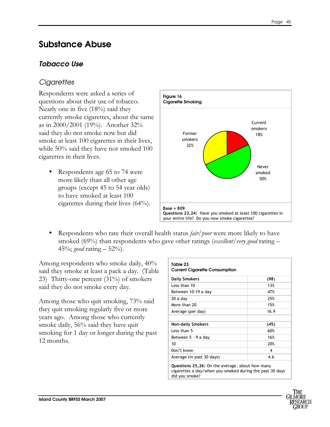# Substance Abuse

## Tobacco Use

## **Cigarettes**

Respondents were asked a series of questions about their use of tobacco. Nearly one in five (18%) said they currently smoke cigarettes, about the same as in 2000/2001 (19%). Another 32% said they do not smoke now but did smoke at least 100 cigarettes in their lives, while 50% said they have not smoked 100 cigarettes in their lives.

• Respondents age 65 to 74 were more likely than all other age groups (except 45 to 54 year olds) to have smoked at least 100 cigarettes during their lives (64%).



Respondents who rate their overall health status *fair/poor* were more likely to have smoked (69%) than respondents who gave other ratings (*excellent*/very good rating  $-$ 45%; good rating  $-52%$ .

Among respondents who smoke daily, 40% said they smoke at least a pack a day. (Table 23) Thirty-one percent (31%) of smokers said they do not smoke every day.

Among those who quit smoking, 73% said they quit smoking regularly five or more years ago. Among those who currently smoke daily, 56% said they have quit smoking for 1 day or longer during the past 12 months.

| Table 23<br><b>Current Cigarette Consumption</b> |      |  |
|--------------------------------------------------|------|--|
| <b>Daily Smokers</b>                             | (98) |  |
| Less than 10                                     | 13%  |  |
| Between 10-19 a day                              | 47%  |  |
| 20 a day                                         | 25%  |  |
| More than 20                                     | 15%  |  |
| Average (per day)                                | 16.9 |  |
| <b>Non-daily Smokers</b>                         | (45) |  |
| Less than 5                                      | 60%  |  |
| Between 5 - 9 a day                              | 16%  |  |
| 10                                               | 20%  |  |
| Don't know                                       | 4    |  |
| Average (in past 30 days)                        | 4.6  |  |

Questions 25,26: On the average, about how many cigarettes a day/when you smoked during the past 30 days did you smoke?

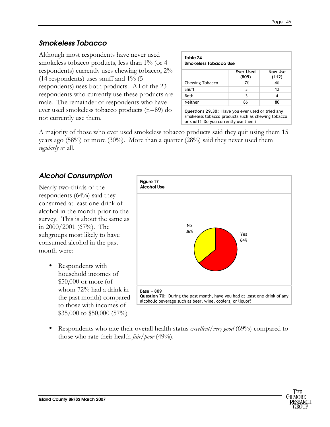### Smokeless Tobacco

Although most respondents have never used smokeless tobacco products, less than 1% (or 4 respondents) currently uses chewing tobacco, 2% (14 respondents) uses snuff and 1% (5 respondents) uses both products. All of the 23 respondents who currently use these products are male. The remainder of respondents who have ever used smokeless tobacco products (n=89) do not currently use them.

| Smokeless Tobacco Use |                    |                         |
|-----------------------|--------------------|-------------------------|
|                       | Ever Used<br>(809) | <b>Now Use</b><br>(112) |
| Chewing Tobacco       | 7%                 | 4%                      |
| Snuff                 | 3                  | 12                      |
| Both                  | 3                  | 4                       |
| Neither               | 86                 | 80                      |

smokeless tobacco products such as chewing tobacco or snuff? Do you currently use them?

A majority of those who ever used smokeless tobacco products said they quit using them 15 years ago  $(58%)$  or more  $(30%)$ . More than a quarter  $(28%)$  said they never used them regularly at all.

## Alcohol Consumption

Nearly two-thirds of the respondents (64%) said they consumed at least one drink of alcohol in the month prior to the survey. This is about the same as in 2000/2001 (67%). The subgroups most likely to have consumed alcohol in the past month were:

> • Respondents with household incomes of \$50,000 or more (of whom 72% had a drink in the past month) compared to those with incomes of \$35,000 to \$50,000 (57%)



Respondents who rate their overall health status excellent/very good (69%) compared to those who rate their health *fair*/*poor* (49%).

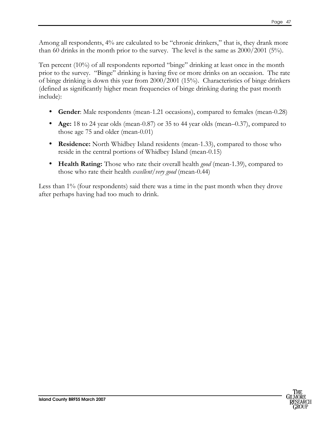Among all respondents, 4% are calculated to be "chronic drinkers," that is, they drank more than 60 drinks in the month prior to the survey. The level is the same as 2000/2001 (5%).

Ten percent (10%) of all respondents reported "binge" drinking at least once in the month prior to the survey. "Binge" drinking is having five or more drinks on an occasion. The rate of binge drinking is down this year from 2000/2001 (15%). Characteristics of binge drinkers (defined as significantly higher mean frequencies of binge drinking during the past month include):

- Gender: Male respondents (mean-1.21 occasions), compared to females (mean-0.28)
- Age: 18 to 24 year olds (mean-0.87) or 35 to 44 year olds (mean–0.37), compared to those age 75 and older (mean-0.01)
- **Residence:** North Whidbey Island residents (mean-1.33), compared to those who reside in the central portions of Whidbey Island (mean-0.15)
- Health Rating: Those who rate their overall health good (mean-1.39), compared to those who rate their health *excellent*/*very good* (mean-0.44)

Less than 1% (four respondents) said there was a time in the past month when they drove after perhaps having had too much to drink.

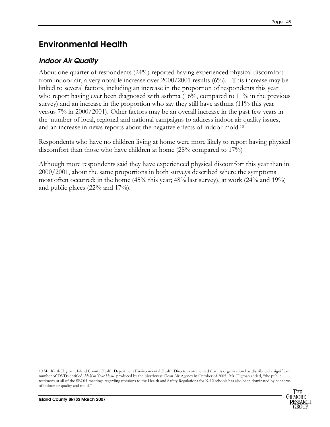# Environmental Health

### Indoor Air Quality

About one quarter of respondents (24%) reported having experienced physical discomfort from indoor air, a very notable increase over 2000/2001 results (6%). This increase may be linked to several factors, including an increase in the proportion of respondents this year who report having ever been diagnosed with asthma (16%, compared to 11% in the previous survey) and an increase in the proportion who say they still have asthma (11% this year versus 7% in 2000/2001). Other factors may be an overall increase in the past few years in the number of local, regional and national campaigns to address indoor air quality issues, and an increase in news reports about the negative effects of indoor mold.<sup>10</sup>

Respondents who have no children living at home were more likely to report having physical discomfort than those who have children at home (28% compared to 17%)

Although more respondents said they have experienced physical discomfort this year than in 2000/2001, about the same proportions in both surveys described where the symptoms most often occurred: in the home  $(45\%$  this year;  $48\%$  last survey), at work  $(24\%$  and  $19\%)$ and public places (22% and 17%).

<sup>10</sup> Mr. Keith Higman, Island County Health Department Environmental Health Director commented that his organization has distributed a significant number of DVDs entitled, Mold in Your Home, produced by the Northwest Clean Air Agency in October of 2005. Mr. Higman added, "the public testimony at all of the SBOH meetings regarding revisions to the Health and Safety Regulations for K-12 schools has also been dominated by concerns of indoor air quality and mold."



-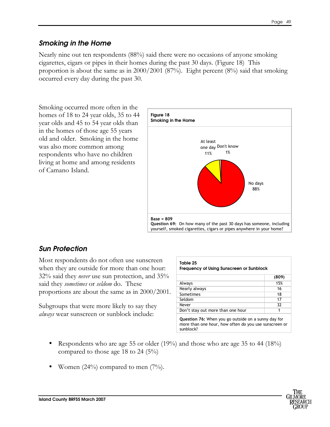### Smoking in the Home

Nearly nine out ten respondents (88%) said there were no occasions of anyone smoking cigarettes, cigars or pipes in their homes during the past 30 days. (Figure 18) This proportion is about the same as in 2000/2001 (87%). Eight percent (8%) said that smoking occurred every day during the past 30.

Smoking occurred more often in the homes of 18 to 24 year olds, 35 to 44 year olds and 45 to 54 year olds than in the homes of those age 55 years old and older. Smoking in the home was also more common among respondents who have no children living at home and among residents of Camano Island.



## Sun Protection

Most respondents do not often use sunscreen when they are outside for more than one hour: 32% said they never use sun protection, and 35% said they *sometimes* or *seldom* do. These proportions are about the same as in 2000/2001.

Subgroups that were more likely to say they always wear sunscreen or sunblock include:

|                                   | (809) |
|-----------------------------------|-------|
| Always                            | 15%   |
| Nearly always                     | 16    |
| Sometimes                         | 18    |
| Seldom                            | 17    |
| Never                             | 32    |
| Don't stay out more than one hour |       |

- Respondents who are age 55 or older (19%) and those who are age 35 to 44 (18%) compared to those age 18 to 24 (5%)
- Women  $(24\%)$  compared to men  $(7\%)$ .

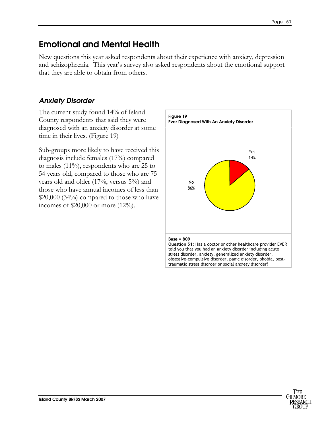# Emotional and Mental Health

New questions this year asked respondents about their experience with anxiety, depression and schizophrenia. This year's survey also asked respondents about the emotional support that they are able to obtain from others.

# Anxiety Disorder

The current study found 14% of Island County respondents that said they were diagnosed with an anxiety disorder at some time in their lives. (Figure 19)

Sub-groups more likely to have received this diagnosis include females (17%) compared to males (11%), respondents who are 25 to 54 years old, compared to those who are 75 years old and older (17%, versus 5%) and those who have annual incomes of less than \$20,000 (34%) compared to those who have incomes of \$20,000 or more (12%).



obsessive-compulsive disorder, panic disorder, phobia, posttraumatic stress disorder or social anxiety disorder?

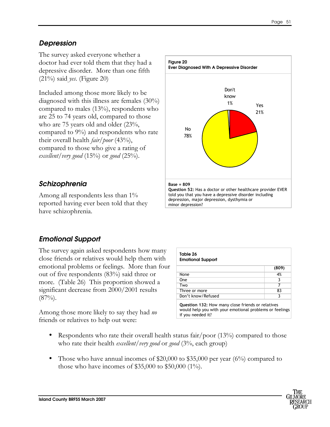### Depression

The survey asked everyone whether a doctor had ever told them that they had a depressive disorder. More than one fifth  $(21\%)$  said yes. (Figure 20)

Included among those more likely to be diagnosed with this illness are females (30%) compared to males (13%), respondents who are 25 to 74 years old, compared to those who are 75 years old and older (23%, compared to 9%) and respondents who rate their overall health *fair*/*poor* (43%), compared to those who give a rating of excellent/very good  $(15\%)$  or good  $(25\%)$ .

## Schizophrenia

Among all respondents less than 1% reported having ever been told that they have schizophrenia.



# Emotional Support

The survey again asked respondents how many close friends or relatives would help them with emotional problems or feelings. More than four out of five respondents (83%) said three or more. (Table 26) This proportion showed a significant decrease from 2000/2001 results  $(87\%)$ .

Among those more likely to say they had no friends or relatives to help out were:

| (809)                                             |
|---------------------------------------------------|
| 4%                                                |
| 3                                                 |
| 7                                                 |
| 83                                                |
| 3                                                 |
| Question 132: How many close friends or relatives |

- Respondents who rate their overall health status fair/poor  $(13\%)$  compared to those who rate their health *excellent*/very good or good  $(3\%$ , each group)
- Those who have annual incomes of  $$20,000$  to  $$35,000$  per year (6%) compared to those who have incomes of \$35,000 to \$50,000 (1%).

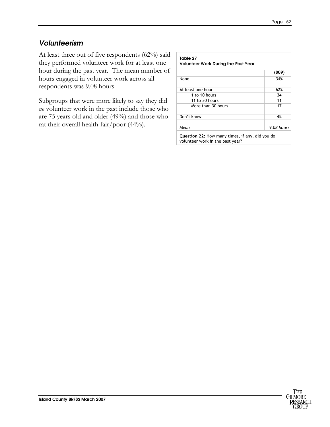### Volunteerism

At least three out of five respondents (62%) said they performed volunteer work for at least one hour during the past year. The mean number of hours engaged in volunteer work across all respondents was 9.08 hours.

Subgroups that were more likely to say they did no volunteer work in the past include those who are 75 years old and older (49%) and those who rat their overall health fair/poor (44%).

| <b>Volunteer Work During the Past Year</b> |            |  |
|--------------------------------------------|------------|--|
|                                            | (809)      |  |
| None                                       | 34%        |  |
| At least one hour                          | 62%        |  |
| 1 to 10 hours                              | 34         |  |
| 11 to 30 hours                             | 11         |  |
| More than 30 hours                         | 17         |  |
| Don't know                                 | 4%         |  |
| Mean                                       | 9.08 hours |  |

volunteer work in the past year?

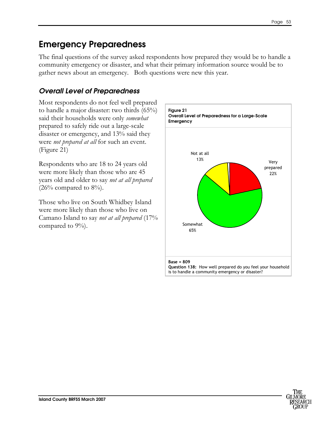# Emergency Preparedness

The final questions of the survey asked respondents how prepared they would be to handle a community emergency or disaster, and what their primary information source would be to gather news about an emergency. Both questions were new this year.

## Overall Level of Preparedness

Most respondents do not feel well prepared to handle a major disaster: two thirds (65%) said their households were only somewhat prepared to safely ride out a large-scale disaster or emergency, and 13% said they were not prepared at all for such an event. (Figure 21)

Respondents who are 18 to 24 years old were more likely than those who are 45 years old and older to say not at all prepared  $(26\%$  compared to  $8\%$ ).

Those who live on South Whidbey Island were more likely than those who live on Camano Island to say not at all prepared (17% compared to 9%).



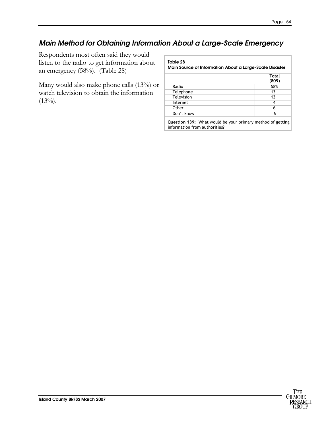## Main Method for Obtaining Information About a Large-Scale Emergency

Respondents most often said they would listen to the radio to get information about an emergency (58%). (Table 28)

Many would also make phone calls (13%) or watch television to obtain the information  $(13\%)$ .

#### Table 28

Main Source of Information About a Large-Scale Disaster

|            | <b>Total</b><br>(809) |
|------------|-----------------------|
| Radio      | 58%                   |
| Telephone  | 13                    |
| Television | 13                    |
| Internet   |                       |
| Other      | 6                     |
| Don't know |                       |

Question 139: What would be your primary method of getting information from authorities?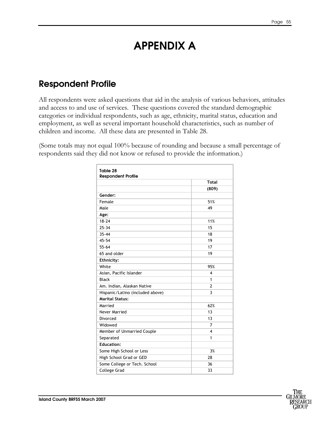# APPENDIX A

# Respondent Profile

All respondents were asked questions that aid in the analysis of various behaviors, attitudes and access to and use of services. These questions covered the standard demographic categories or individual respondents, such as age, ethnicity, marital status, education and employment, as well as several important household characteristics, such as number of children and income. All these data are presented in Table 28.

(Some totals may not equal 100% because of rounding and because a small percentage of respondents said they did not know or refused to provide the information.)

|                                  | <b>Total</b>   |
|----------------------------------|----------------|
|                                  | (809)          |
| Gender:                          |                |
| Female                           | 51%            |
| Male                             | 49             |
| Age:                             |                |
| $18 - 24$                        | 11%            |
| $25 - 34$                        | 15             |
| $35 - 44$                        | 18             |
| $45 - 54$                        | 19             |
| 55-64                            | 17             |
| 65 and older                     | 19             |
| Ethnicity:                       |                |
| White                            | 95%            |
| Asian, Pacific Islander          | 4              |
| <b>Black</b>                     | 1              |
| Am. Indian, Alaskan Native       | $\overline{2}$ |
| Hispanic/Latino (included above) | 3              |
| <b>Marital Status:</b>           |                |
| Married                          | 62%            |
| Never Married                    | 13             |
| Divorced                         | 13             |
| Widowed                          | $\overline{7}$ |
| Member of Unmarried Couple       | 4              |
| Separated                        | 1              |
| <b>Education:</b>                |                |
| Some High School or Less         | 3%             |
| High School Grad or GED          | 28             |
| Some College or Tech. School     | 36             |
| <b>College Grad</b>              | 33             |

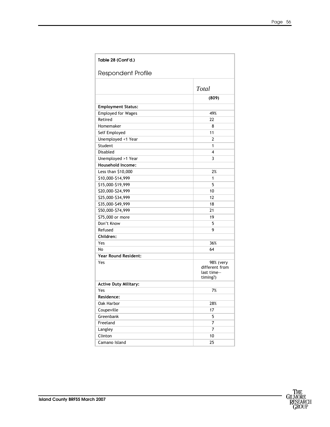| Table 28 (Cont'd.)           |                                                       |
|------------------------------|-------------------------------------------------------|
| <b>Respondent Profile</b>    |                                                       |
|                              | Total                                                 |
|                              | (809)                                                 |
| <b>Employment Status:</b>    |                                                       |
| <b>Employed for Wages</b>    | 49%                                                   |
| Retired                      | 22                                                    |
| Homemaker                    | 8                                                     |
| Self Employed                | 11                                                    |
| Unemployed <1 Year           | 2                                                     |
| Student                      | 1                                                     |
| <b>Disabled</b>              | 4                                                     |
| Unemployed >1 Year           | 3                                                     |
| Household Income:            |                                                       |
| Less than \$10,000           | 2%                                                    |
| \$10,000-\$14,999            | 1                                                     |
| \$15,000-\$19,999            | 5                                                     |
| \$20,000-\$24,999            | 10                                                    |
| \$25,000-\$34,999            | 12                                                    |
| \$35,000-\$49,999            | 18                                                    |
| \$50,000-\$74,999            | 21                                                    |
| \$75,000 or more             | 19                                                    |
| Don't Know                   | 5                                                     |
| Refused                      | 9                                                     |
| Children:                    |                                                       |
| Yes                          | 36%                                                   |
| No.                          | 64                                                    |
| <b>Year Round Resident:</b>  |                                                       |
| Yes                          | 98% (very<br>different from<br>last time-<br>timing?) |
| <b>Active Duty Military:</b> |                                                       |
| Yes                          | 7%                                                    |
| Residence:                   |                                                       |
| Oak Harbor                   | 28%                                                   |
| Coupeville                   | 17                                                    |
| Greenbank                    | 5                                                     |
| Freeland                     | $\overline{7}$                                        |
| Langley                      | $\overline{7}$                                        |
| Clinton                      | 10                                                    |
| Camano Island                | 25                                                    |

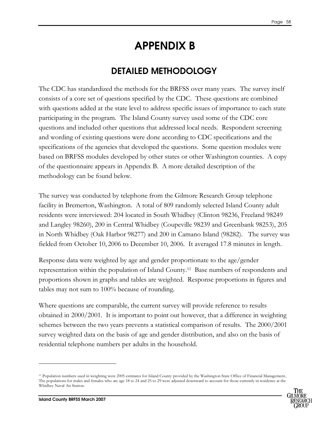# APPENDIX B

# DETAILED METHODOLOGY

The CDC has standardized the methods for the BRFSS over many years. The survey itself consists of a core set of questions specified by the CDC. These questions are combined with questions added at the state level to address specific issues of importance to each state participating in the program. The Island County survey used some of the CDC core questions and included other questions that addressed local needs. Respondent screening and wording of existing questions were done according to CDC specifications and the specifications of the agencies that developed the questions. Some question modules were based on BRFSS modules developed by other states or other Washington counties. A copy of the questionnaire appears in Appendix B. A more detailed description of the methodology can be found below.

The survey was conducted by telephone from the Gilmore Research Group telephone facility in Bremerton, Washington. A total of 809 randomly selected Island County adult residents were interviewed: 204 located in South Whidbey (Clinton 98236, Freeland 98249 and Langley 98260), 200 in Central Whidbey (Coupeville 98239 and Greenbank 98253), 205 in North Whidbey (Oak Harbor 98277) and 200 in Camano Island (98282). The survey was fielded from October 10, 2006 to December 10, 2006. It averaged 17.8 minutes in length.

Response data were weighted by age and gender proportionate to the age/gender representation within the population of Island County.11 Base numbers of respondents and proportions shown in graphs and tables are weighted. Response proportions in figures and tables may not sum to 100% because of rounding.

Where questions are comparable, the current survey will provide reference to results obtained in 2000/2001. It is important to point out however, that a difference in weighting schemes between the two years prevents a statistical comparison of results. The 2000/2001 survey weighted data on the basis of age and gender distribution, and also on the basis of residential telephone numbers per adults in the household.

<sup>11</sup> Population numbers used in weighting were 2005 estimates for Island County provided by the Washington State Office of Financial Management.. The populations for males and females who are age 18 to 24 and 25 to 29 were adjusted downward to account for those currently in residence at the Whidbey Naval Air Station.



-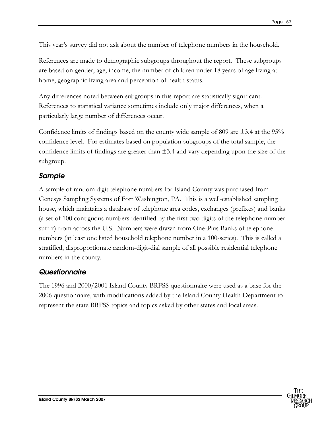This year's survey did not ask about the number of telephone numbers in the household.

References are made to demographic subgroups throughout the report. These subgroups are based on gender, age, income, the number of children under 18 years of age living at home, geographic living area and perception of health status.

Any differences noted between subgroups in this report are statistically significant. References to statistical variance sometimes include only major differences, when a particularly large number of differences occur.

Confidence limits of findings based on the county wide sample of 809 are  $\pm$ 3.4 at the 95% confidence level. For estimates based on population subgroups of the total sample, the confidence limits of findings are greater than  $\pm 3.4$  and vary depending upon the size of the subgroup.

### Sample

A sample of random digit telephone numbers for Island County was purchased from Genesys Sampling Systems of Fort Washington, PA. This is a well-established sampling house, which maintains a database of telephone area codes, exchanges (prefixes) and banks (a set of 100 contiguous numbers identified by the first two digits of the telephone number suffix) from across the U.S. Numbers were drawn from One-Plus Banks of telephone numbers (at least one listed household telephone number in a 100-series). This is called a stratified, disproportionate random-digit-dial sample of all possible residential telephone numbers in the county.

### Questionnaire

The 1996 and 2000/2001 Island County BRFSS questionnaire were used as a base for the 2006 questionnaire, with modifications added by the Island County Health Department to represent the state BRFSS topics and topics asked by other states and local areas.

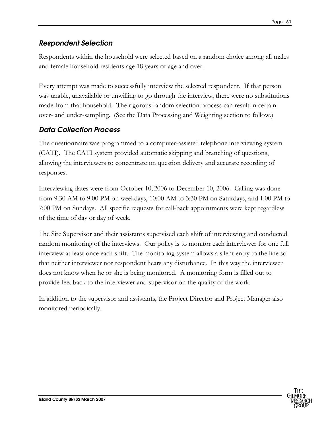### Respondent Selection

Respondents within the household were selected based on a random choice among all males and female household residents age 18 years of age and over.

Every attempt was made to successfully interview the selected respondent. If that person was unable, unavailable or unwilling to go through the interview, there were no substitutions made from that household. The rigorous random selection process can result in certain over- and under-sampling. (See the Data Processing and Weighting section to follow.)

### Data Collection Process

The questionnaire was programmed to a computer-assisted telephone interviewing system (CATI). The CATI system provided automatic skipping and branching of questions, allowing the interviewers to concentrate on question delivery and accurate recording of responses.

Interviewing dates were from October 10, 2006 to December 10, 2006. Calling was done from 9:30 AM to 9:00 PM on weekdays, 10:00 AM to 3:30 PM on Saturdays, and 1:00 PM to 7:00 PM on Sundays. All specific requests for call-back appointments were kept regardless of the time of day or day of week.

The Site Supervisor and their assistants supervised each shift of interviewing and conducted random monitoring of the interviews. Our policy is to monitor each interviewer for one full interview at least once each shift. The monitoring system allows a silent entry to the line so that neither interviewer nor respondent hears any disturbance. In this way the interviewer does not know when he or she is being monitored. A monitoring form is filled out to provide feedback to the interviewer and supervisor on the quality of the work.

In addition to the supervisor and assistants, the Project Director and Project Manager also monitored periodically.

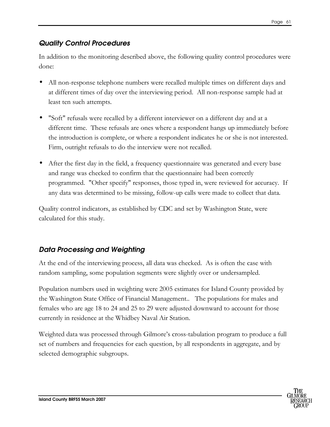## Quality Control Procedures

In addition to the monitoring described above, the following quality control procedures were done:

- All non-response telephone numbers were recalled multiple times on different days and at different times of day over the interviewing period. All non-response sample had at least ten such attempts.
- "Soft" refusals were recalled by a different interviewer on a different day and at a different time. These refusals are ones where a respondent hangs up immediately before the introduction is complete, or where a respondent indicates he or she is not interested. Firm, outright refusals to do the interview were not recalled.
- After the first day in the field, a frequency questionnaire was generated and every base and range was checked to confirm that the questionnaire had been correctly programmed. "Other specify" responses, those typed in, were reviewed for accuracy. If any data was determined to be missing, follow-up calls were made to collect that data.

Quality control indicators, as established by CDC and set by Washington State, were calculated for this study.

# Data Processing and Weighting

At the end of the interviewing process, all data was checked. As is often the case with random sampling, some population segments were slightly over or undersampled.

Population numbers used in weighting were 2005 estimates for Island County provided by the Washington State Office of Financial Management.. The populations for males and females who are age 18 to 24 and 25 to 29 were adjusted downward to account for those currently in residence at the Whidbey Naval Air Station.

Weighted data was processed through Gilmore's cross-tabulation program to produce a full set of numbers and frequencies for each question, by all respondents in aggregate, and by selected demographic subgroups.

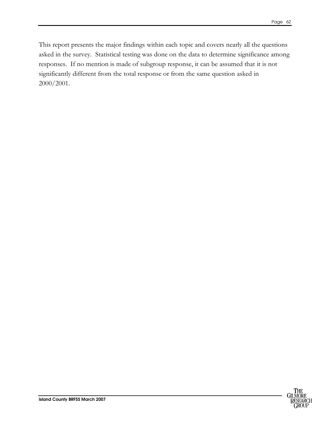This report presents the major findings within each topic and covers nearly all the questions asked in the survey. Statistical testing was done on the data to determine significance among responses. If no mention is made of subgroup response, it can be assumed that it is not significantly different from the total response or from the same question asked in 2000/2001.

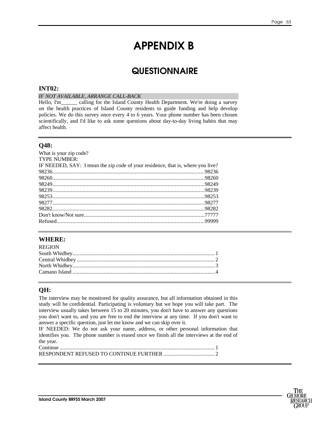# APPENDIX B

# **QUESTIONNAIRE**

#### **INT02:**

#### *IF NOT AVAILABLE, ARRANGE CALL-BACK*

Hello, I'm\_\_\_\_\_\_ calling for the Island County Health Department. We're doing a survey on the health practices of Island County residents to guide funding and help develop policies. We do this survey once every 4 to 6 years. Your phone number has been chosen scientifically, and I'd like to ask some questions about day-to-day living habits that may affect health.

### **Q48:**

| What is your zip code?                                                          |  |
|---------------------------------------------------------------------------------|--|
| <b>TYPE NUMBER:</b>                                                             |  |
| IF NEEDED, SAY: I mean the zip code of your residence, that is, where you live? |  |
|                                                                                 |  |
|                                                                                 |  |
|                                                                                 |  |
|                                                                                 |  |
|                                                                                 |  |
|                                                                                 |  |
|                                                                                 |  |
|                                                                                 |  |
|                                                                                 |  |
|                                                                                 |  |

### **WHERE:**

| <b>REGION</b> |  |
|---------------|--|
|               |  |
|               |  |
|               |  |
|               |  |
|               |  |

### **QH:**

The interview may be monitored for quality assurance, but all information obtained in this study will be confidential. Participating is voluntary but we hope you will take part. The interview usually takes between 15 to 20 minutes, you don't have to answer any questions you don't want to, and you are free to end the interview at any time. If you don't want to answer a specific question, just let me know and we can skip over it.

IF NEEDED: We do not ask your name, address, or other personal information that identifies you. The phone number is erased once we finish all the interviews at the end of the year.

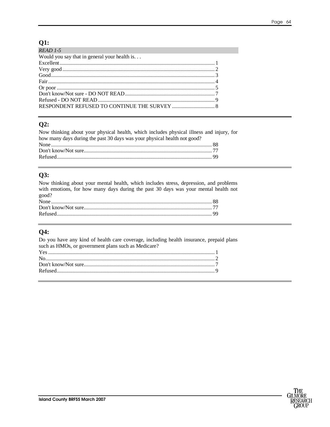### $Q1:$

| $READ$ 1-5                                    |  |
|-----------------------------------------------|--|
| Would you say that in general your health is. |  |
|                                               |  |
|                                               |  |
|                                               |  |
|                                               |  |
|                                               |  |
|                                               |  |
|                                               |  |
|                                               |  |

### $Q2:$

Now thinking about your physical health, which includes physical illness and injury, for how many days during the past 30 days was your physical health not good?

### $Q3:$

Now thinking about your mental health, which includes stress, depression, and problems with emotions, for how many days during the past 30 days was your mental health not good?

### Q4:

Do you have any kind of health care coverage, including health insurance, prepaid plans such as HMOs, or government plans such as Medicare?

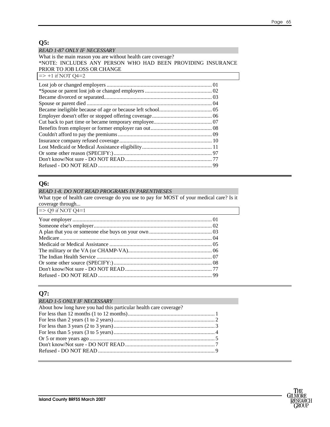### **Q5:**

| <b>READ 1-87 ONLY IF NECESSARY</b>                            |
|---------------------------------------------------------------|
| What is the main reason you are without health care coverage? |
| *NOTE: INCLUDES ANY PERSON WHO HAD BEEN PROVIDING INSURANCE   |
| PRIOR TO JOB LOSS OR CHANGE                                   |
| $\Rightarrow$ +1 if NOT Q4=2                                  |
|                                                               |
|                                                               |
|                                                               |
|                                                               |
|                                                               |
|                                                               |
|                                                               |
|                                                               |
|                                                               |
|                                                               |
|                                                               |
|                                                               |
|                                                               |
|                                                               |

### **Q6:**

#### *READ 1-8. DO NOT READ PROGRAMS IN PARENTHESES*

What type of health care coverage do you use to pay for MOST of your medical care? Is it coverage through...

| $\approx$ Q9 if NOT Q4=1 |  |
|--------------------------|--|
|                          |  |
|                          |  |
|                          |  |
|                          |  |
|                          |  |
|                          |  |
|                          |  |
|                          |  |
|                          |  |
|                          |  |

### **Q7:**

| <b>READ 1-5 ONLY IF NECESSARY</b>                                 |  |
|-------------------------------------------------------------------|--|
| About how long have you had this particular health care coverage? |  |
|                                                                   |  |
|                                                                   |  |
|                                                                   |  |
|                                                                   |  |
|                                                                   |  |
|                                                                   |  |
|                                                                   |  |
|                                                                   |  |

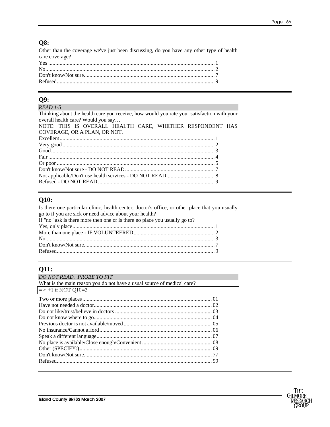### **Q8:**

Other than the coverage we've just been discussing, do you have any other type of health care coverage?

### **O9:**

#### READ 1-5

Thinking about the health care you receive, how would you rate your satisfaction with your overall health care? Would you say... NOTE: THIS IS OVERALL HEALTH CARE, WHETHER RESPONDENT HAS COVERAGE, OR A PLAN, OR NOT. 

### **O10:**

Is there one particular clinic, health center, doctor's office, or other place that you usually go to if you are sick or need advice about your health? If "no" ask is there more then one or is there no place you usually go to? 

### **Q11:**

| DO NOT READ. PROBE TO FIT                                               |  |
|-------------------------------------------------------------------------|--|
| What is the main reason you do not have a usual source of medical care? |  |
| $\Rightarrow$ +1 if NOT Q10=3                                           |  |
|                                                                         |  |
|                                                                         |  |
|                                                                         |  |
|                                                                         |  |
|                                                                         |  |
|                                                                         |  |
|                                                                         |  |
|                                                                         |  |
|                                                                         |  |
|                                                                         |  |
|                                                                         |  |
|                                                                         |  |

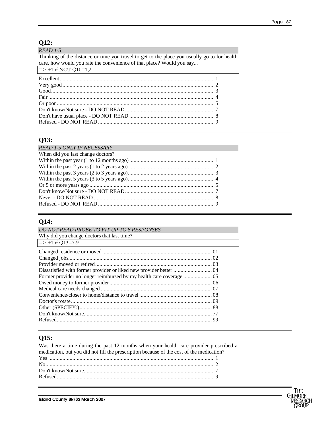### $Q12:$

### READ 1-5

Thinking of the distance or time you travel to get to the place you usually go to for health care, how would you rate the convenience of that place? Would you say...

| $\Rightarrow$ +1 if NOT Q10=1,2 |  |
|---------------------------------|--|
|                                 |  |
|                                 |  |
|                                 |  |
|                                 |  |
|                                 |  |
|                                 |  |
|                                 |  |
|                                 |  |
|                                 |  |

### Q13:

| <b>READ 1-5 ONLY IF NECESSARY</b> |  |
|-----------------------------------|--|
| When did you last change doctors? |  |
|                                   |  |
|                                   |  |
|                                   |  |
|                                   |  |
|                                   |  |
|                                   |  |
|                                   |  |
|                                   |  |

### Q14:

| DO NOT READ PROBE TO FIT UP TO 8 RESPONSES |  |
|--------------------------------------------|--|
| Why did you change doctors that last time? |  |
| $\Rightarrow$ +1 if Q13=7-9                |  |
|                                            |  |
|                                            |  |
|                                            |  |
|                                            |  |
|                                            |  |
|                                            |  |
|                                            |  |
|                                            |  |
|                                            |  |
|                                            |  |
|                                            |  |
|                                            |  |
|                                            |  |

### Q15:

| Was there a time during the past 12 months when your health care provider prescribed a   |  |
|------------------------------------------------------------------------------------------|--|
| medication, but you did not fill the prescription because of the cost of the medication? |  |
|                                                                                          |  |
|                                                                                          |  |
|                                                                                          |  |
|                                                                                          |  |
|                                                                                          |  |

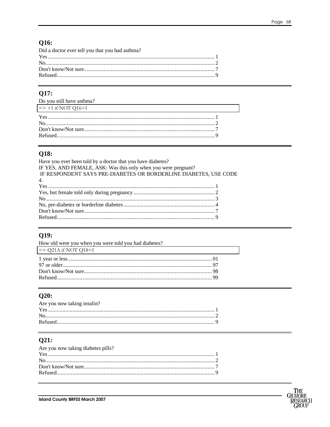# **Q16:**

| Did a doctor ever tell you that you had asthma? |  |
|-------------------------------------------------|--|
|                                                 |  |
|                                                 |  |
|                                                 |  |
|                                                 |  |
|                                                 |  |

## Q17:

| Do you still have asthma?     |  |
|-------------------------------|--|
| $\Rightarrow$ +1 if NOT Q16=1 |  |
|                               |  |

## **Q18:**

| Have you ever been told by a doctor that you have diabetes?      |
|------------------------------------------------------------------|
| IF YES, AND FEMALE, ASK: Was this only when you were pregnant?   |
| IF RESPONDENT SAYS PRE-DIABETES OR BORDERLINE DIABETES, USE CODE |
| $\overline{4}$ .                                                 |
|                                                                  |
|                                                                  |
|                                                                  |
|                                                                  |
|                                                                  |
|                                                                  |
|                                                                  |

# $Q19:$

| How old were you when you were told you had diabetes? |  |
|-------------------------------------------------------|--|
| $\Rightarrow$ Q21A if NOT Q18=1                       |  |
|                                                       |  |
|                                                       |  |
|                                                       |  |
|                                                       |  |
|                                                       |  |

## $Q20:$

| Are you now taking insulin? |  |
|-----------------------------|--|
|                             |  |
|                             |  |
|                             |  |

# $Q21:$

| Are you now taking diabetes pills? |  |
|------------------------------------|--|
|                                    |  |
|                                    |  |
|                                    |  |
|                                    |  |
|                                    |  |

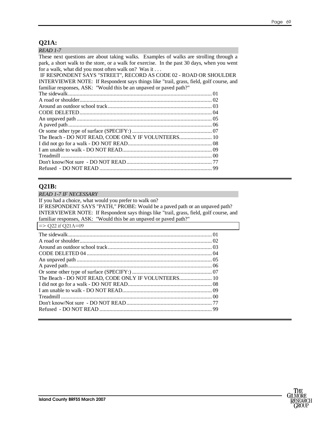### **Q21A:**

These next questions are about taking walks. Examples of walks are strolling through a park, a short walk to the store, or a walk for exercise. In the past 30 days, when you went for a walk, what did you most often walk on? Was it . . . IF RESPONDENT SAYS "STREET", RECORD AS CODE 02 - ROAD OR SHOULDER INTERVIEWER NOTE: If Respondent says things like "trail, grass, field, golf course, and familiar responses, ASK: "Would this be an unpaved or paved path?"<br>The sidewalk The sidewalk..................................................................................................... 01

| The Beach - DO NOT READ, CODE ONLY IF VOLUNTEERS 10 |  |
|-----------------------------------------------------|--|
|                                                     |  |
|                                                     |  |
|                                                     |  |
|                                                     |  |
|                                                     |  |
|                                                     |  |

### **Q21B:**

| <b>READ 1-7 IF NECESSARY</b>                                                            |  |  |
|-----------------------------------------------------------------------------------------|--|--|
| If you had a choice, what would you prefer to walk on?                                  |  |  |
| IF RESPONDENT SAYS "PATH," PROBE: Would be a paved path or an unpaved path?             |  |  |
| INTERVIEWER NOTE: If Respondent says things like "trail, grass, field, golf course, and |  |  |
| familiar responses, ASK: "Would this be an unpaved or paved path?"                      |  |  |
| $\Rightarrow$ Q22 if Q21A=09                                                            |  |  |
|                                                                                         |  |  |
|                                                                                         |  |  |
|                                                                                         |  |  |
|                                                                                         |  |  |
|                                                                                         |  |  |
|                                                                                         |  |  |
|                                                                                         |  |  |
| The Beach - DO NOT READ, CODE ONLY IF VOLUNTEERS 10                                     |  |  |
|                                                                                         |  |  |
|                                                                                         |  |  |
|                                                                                         |  |  |
|                                                                                         |  |  |
|                                                                                         |  |  |
|                                                                                         |  |  |

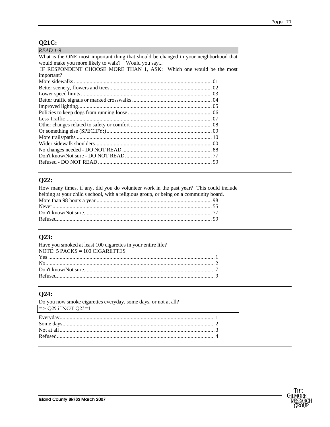### $Q21C$ :

| $READ 1-9$                                                                            |  |
|---------------------------------------------------------------------------------------|--|
| What is the ONE most important thing that should be changed in your neighborhood that |  |
| would make you more likely to walk? Would you say                                     |  |
| IF RESPONDENT CHOOSE MORE THAN 1, ASK: Which one would be the most                    |  |
| important?                                                                            |  |
|                                                                                       |  |
|                                                                                       |  |
|                                                                                       |  |
|                                                                                       |  |
|                                                                                       |  |
|                                                                                       |  |
|                                                                                       |  |
|                                                                                       |  |
|                                                                                       |  |
|                                                                                       |  |
|                                                                                       |  |
|                                                                                       |  |
|                                                                                       |  |
| 89                                                                                    |  |

### $Q22:$

| How many times, if any, did you do volunteer work in the past year? This could include |  |
|----------------------------------------------------------------------------------------|--|
| helping at your child's school, with a religious group, or being on a community board. |  |
|                                                                                        |  |
|                                                                                        |  |
|                                                                                        |  |
|                                                                                        |  |

### Q23:

| Have you smoked at least 100 cigarettes in your entire life? |  |
|--------------------------------------------------------------|--|
| NOTE: $5$ PACKS = 100 CIGARETTES                             |  |
|                                                              |  |
|                                                              |  |
|                                                              |  |
|                                                              |  |
|                                                              |  |

# $Q24:$

| Do you now smoke cigarettes everyday, some days, or not at all? |  |
|-----------------------------------------------------------------|--|
| $\Rightarrow$ Q29 if NOT Q23=1                                  |  |
|                                                                 |  |

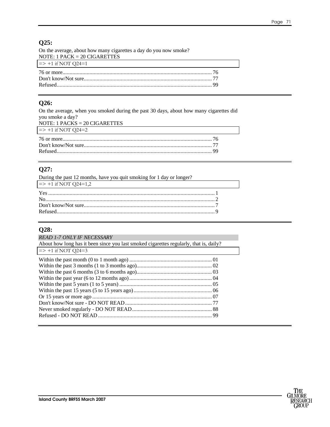#### **Q25:**

| On the average, about how many cigarettes a day do you now smoke? |  |
|-------------------------------------------------------------------|--|
| NOTE: 1 PACK = $20$ CIGARETTES                                    |  |
| $\Rightarrow$ +1 if NOT Q24=1                                     |  |
|                                                                   |  |
|                                                                   |  |
|                                                                   |  |
|                                                                   |  |

#### **Q26:**

On the average, when you smoked during the past 30 days, about how many cigarettes did you smoke a day? NOTE: 1 PACKS = 20 CIGARETTES  $=$  > +1 if NOT Q24=2 76 or more......................................................................................................... 76 Don't know/Not sure.......................................................................................... 77 Refused............................................................................................................. 99

## **Q27:**

| During the past 12 months, have you quit smoking for 1 day or longer? |  |
|-----------------------------------------------------------------------|--|
| $\Rightarrow$ +1 if NOT Q24=1,2                                       |  |
|                                                                       |  |
|                                                                       |  |
|                                                                       |  |
|                                                                       |  |

#### **Q28:**

| <b>READ 1-7 ONLY IF NECESSARY</b>                                                      |  |
|----------------------------------------------------------------------------------------|--|
| About how long has it been since you last smoked cigarettes regularly, that is, daily? |  |
| $\Rightarrow$ +1 if NOT Q24=3                                                          |  |
|                                                                                        |  |
|                                                                                        |  |
|                                                                                        |  |
|                                                                                        |  |
|                                                                                        |  |
|                                                                                        |  |
|                                                                                        |  |
|                                                                                        |  |
|                                                                                        |  |
|                                                                                        |  |
|                                                                                        |  |

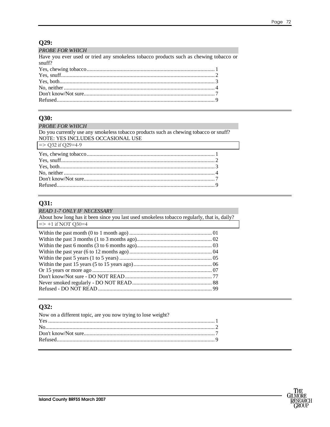# $Q29:$

| <b>PROBE FOR WHICH</b>                                                                |  |
|---------------------------------------------------------------------------------------|--|
| Have you ever used or tried any smokeless tobacco products such as chewing tobacco or |  |
| snuff?                                                                                |  |
|                                                                                       |  |
|                                                                                       |  |
|                                                                                       |  |
|                                                                                       |  |
|                                                                                       |  |
|                                                                                       |  |

#### **Q30:**

# **Q31:**

| <b>READ 1-7 ONLY IF NECESSARY</b><br>About how long has it been since you last used smokeless to bacco regularly, that is, daily? |  |
|-----------------------------------------------------------------------------------------------------------------------------------|--|
| $\Rightarrow$ +1 if NOT Q30=4                                                                                                     |  |
|                                                                                                                                   |  |
|                                                                                                                                   |  |

# $Q32:$

| Now on a different topic, are you now trying to lose weight? |  |
|--------------------------------------------------------------|--|
|                                                              |  |
|                                                              |  |
|                                                              |  |
|                                                              |  |
|                                                              |  |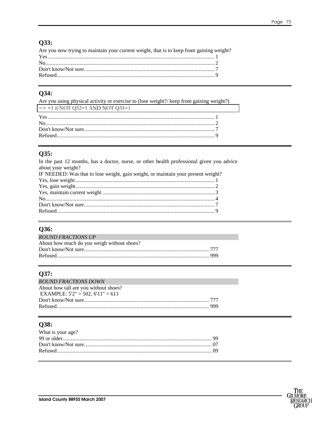# Q33:

| Are you now trying to maintain your current weight, that is to keep from gaining weight? |  |
|------------------------------------------------------------------------------------------|--|
|                                                                                          |  |
|                                                                                          |  |
|                                                                                          |  |
|                                                                                          |  |
|                                                                                          |  |

#### Q34:

| Are you using physical activity or exercise to (lose weight?) keep from gaining weight?) |  |
|------------------------------------------------------------------------------------------|--|
| $\Rightarrow$ +1 if NOT Q32=1 AND NOT Q33=1                                              |  |
|                                                                                          |  |
|                                                                                          |  |

## $Q35:$

In the past 12 months, has a doctor, nurse, or other health professional given you advice about your weight?

| IF NEEDED: Was that to lose weight, gain weight, or maintain your present weight? |  |
|-----------------------------------------------------------------------------------|--|
|                                                                                   |  |
|                                                                                   |  |
|                                                                                   |  |
|                                                                                   |  |
|                                                                                   |  |
|                                                                                   |  |
|                                                                                   |  |

## Q36:

| <b>ROUND FRACTIONS UP</b>                  |  |
|--------------------------------------------|--|
| About how much do you weigh without shoes? |  |
|                                            |  |
|                                            |  |
|                                            |  |

# Q37:

| <b>ROUND FRACTIONS DOWN</b>             |  |
|-----------------------------------------|--|
| About how tall are you without shoes?   |  |
| EXAMPLE: $5'2'' = 502$ , $6'11'' = 611$ |  |
|                                         |  |
|                                         |  |

# Q38:

| What is your age? |  |
|-------------------|--|
|                   |  |
|                   |  |
|                   |  |
|                   |  |

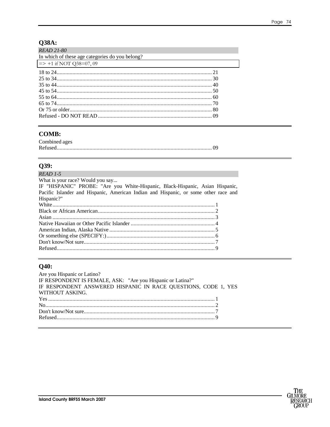#### Page 74

# Q38A:

| <b>READ 21-80</b>                               |  |
|-------------------------------------------------|--|
| In which of these age categories do you belong? |  |
| $\Rightarrow$ +1 if NOT Q38=07, 09              |  |
|                                                 |  |
|                                                 |  |
|                                                 |  |
|                                                 |  |
|                                                 |  |
|                                                 |  |
|                                                 |  |
|                                                 |  |

#### **COMB:**

| Combined ages |  |
|---------------|--|
|               |  |

#### Q39:

| $READ$ 1-5                                                                          |  |
|-------------------------------------------------------------------------------------|--|
| What is your race? Would you say                                                    |  |
| IF "HISPANIC" PROBE: "Are you White-Hispanic, Black-Hispanic, Asian Hispanic,       |  |
| Pacific Islander and Hispanic, American Indian and Hispanic, or some other race and |  |
| Hispanic?"                                                                          |  |
|                                                                                     |  |
|                                                                                     |  |
|                                                                                     |  |
|                                                                                     |  |
|                                                                                     |  |
|                                                                                     |  |
|                                                                                     |  |
|                                                                                     |  |
|                                                                                     |  |

## $Q40:$

| Are you Hispanic or Latino?                                    |  |
|----------------------------------------------------------------|--|
| IF RESPONDENT IS FEMALE, ASK: "Are you Hispanic or Latina?"    |  |
| IF RESPONDENT ANSWERED HISPANIC IN RACE QUESTIONS, CODE 1, YES |  |
| WITHOUT ASKING.                                                |  |
|                                                                |  |
|                                                                |  |
|                                                                |  |
|                                                                |  |
|                                                                |  |

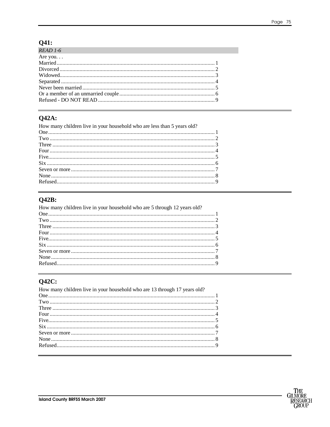# $Q41:$

| $READ 1-6$ |  |
|------------|--|
| Are you    |  |
|            |  |
|            |  |
|            |  |
|            |  |
|            |  |
|            |  |
|            |  |
|            |  |

## **Q42A:**

| How many children live in your household who are less than 5 years old? |  |
|-------------------------------------------------------------------------|--|
|                                                                         |  |
|                                                                         |  |
|                                                                         |  |
|                                                                         |  |
|                                                                         |  |
|                                                                         |  |
|                                                                         |  |
|                                                                         |  |
|                                                                         |  |
|                                                                         |  |

# $Q42B:$

| How many children live in your household who are 5 through 12 years old? |  |
|--------------------------------------------------------------------------|--|
|                                                                          |  |
|                                                                          |  |
|                                                                          |  |
|                                                                          |  |
|                                                                          |  |
|                                                                          |  |
|                                                                          |  |
|                                                                          |  |
|                                                                          |  |
|                                                                          |  |

## $Q42C$ :

| How many children live in your household who are 13 through 17 years old? |  |
|---------------------------------------------------------------------------|--|
|                                                                           |  |
|                                                                           |  |
|                                                                           |  |
|                                                                           |  |
|                                                                           |  |
|                                                                           |  |
|                                                                           |  |
|                                                                           |  |
|                                                                           |  |
|                                                                           |  |

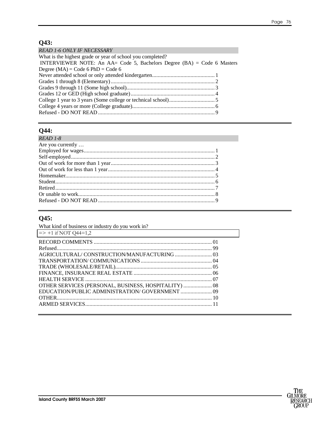# **Q43:**

| <b>READ 1-6 ONLY IF NECESSARY</b>                                         |  |
|---------------------------------------------------------------------------|--|
| What is the highest grade or year of school you completed?                |  |
| INTERVIEWER NOTE: An AA= Code 5, Bachelors Degree $(BA) =$ Code 6 Masters |  |
| Degree $(MA)$ = Code 6 PhD = Code 6                                       |  |
|                                                                           |  |
|                                                                           |  |
|                                                                           |  |
|                                                                           |  |
|                                                                           |  |
|                                                                           |  |
|                                                                           |  |

### **Q44:**

| $READ$ 1-8        |  |
|-------------------|--|
| Are you currently |  |
|                   |  |
|                   |  |
|                   |  |
|                   |  |
|                   |  |
|                   |  |
|                   |  |
|                   |  |
|                   |  |

#### **Q45:**

| What kind of business or industry do you work in?    |  |
|------------------------------------------------------|--|
| $\Rightarrow$ +1 if NOT Q44=1,2                      |  |
|                                                      |  |
|                                                      |  |
|                                                      |  |
|                                                      |  |
|                                                      |  |
|                                                      |  |
|                                                      |  |
| OTHER SERVICES (PERSONAL, BUSINESS, HOSPITALITY)  08 |  |
| EDUCATION/PUBLIC ADMINISTRATION/ GOVERNMENT  09      |  |
|                                                      |  |
|                                                      |  |
|                                                      |  |

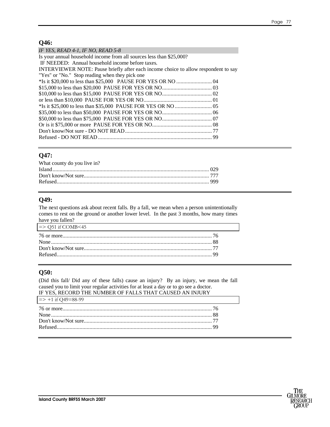#### **Q46:**

| IF YES, READ 4-1, IF NO, READ 5-8                                                   |
|-------------------------------------------------------------------------------------|
| Is your annual household income from all sources less than \$25,000?                |
| IF NEEDED: Annual household income before taxes.                                    |
| INTERVIEWER NOTE: Pause briefly after each income choice to allow respondent to say |
| "Yes" or "No." Stop reading when they pick one                                      |
|                                                                                     |
|                                                                                     |
|                                                                                     |
|                                                                                     |
|                                                                                     |
|                                                                                     |
|                                                                                     |
|                                                                                     |
|                                                                                     |
|                                                                                     |
|                                                                                     |

#### **Q47:**

| What county do you live in? |  |
|-----------------------------|--|
|                             |  |
|                             |  |
|                             |  |
|                             |  |

#### **Q49:**

The next questions ask about recent falls. By a fall, we mean when a person unintentionally comes to rest on the ground or another lower level. In the past 3 months, how many times have you fallen?

| $\Rightarrow$ Q51 if COMB $\leq$ 45 |  |
|-------------------------------------|--|
|                                     |  |
|                                     |  |
|                                     |  |
|                                     |  |
|                                     |  |

#### **Q50:**

(Did this fall/ Did any of these falls) cause an injury? By an injury, we mean the fall caused you to limit your regular activities for at least a day or to go see a doctor. IF YES, RECORD THE NUMBER OF FALLS THAT CAUSED AN INJURY

| $\Rightarrow$ +1 if Q49=88-99 |  |
|-------------------------------|--|
|                               |  |
|                               |  |
|                               |  |
|                               |  |
|                               |  |

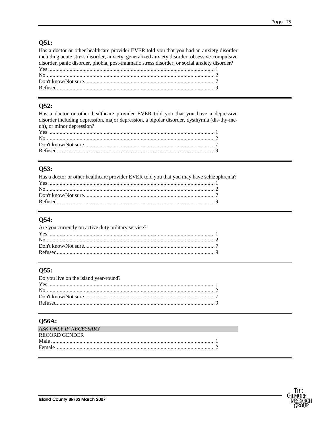#### Q51:

Has a doctor or other healthcare provider EVER told you that you had an anxiety disorder including acute stress disorder, anxiety, generalized anxiety disorder, obsessive-compulsive disorder, panic disorder, phobia, post-traumatic stress disorder, or social anxiety disorder? 

#### Q52:

Has a doctor or other healthcare provider EVER told you that you have a depressive disorder including depression, major depression, a bipolar disorder, dysthymia (dis-thy-meuh), or minor depression?  $\overline{\mathbf{v}}$ 

#### Q53:

| Has a doctor or other healthcare provider EVER told you that you may have schizophrenia? |  |
|------------------------------------------------------------------------------------------|--|
|                                                                                          |  |
|                                                                                          |  |
|                                                                                          |  |
|                                                                                          |  |
|                                                                                          |  |

#### Q54:

| Are you currently on active duty military service? |  |
|----------------------------------------------------|--|
|                                                    |  |
|                                                    |  |
|                                                    |  |
|                                                    |  |
|                                                    |  |

#### Q55:

| Do you live on the island year-round? |  |
|---------------------------------------|--|
|                                       |  |
|                                       |  |
|                                       |  |
|                                       |  |

#### **O56A:**

| ASK ONLY IF NECESSARY |  |
|-----------------------|--|
| <b>RECORD GENDER</b>  |  |
|                       |  |
|                       |  |
|                       |  |

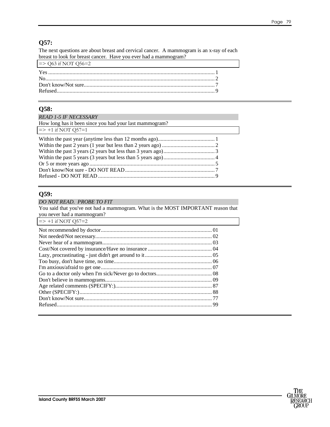#### **Q57:**

The next questions are about breast and cervical cancer. A mammogram is an x-ray of each breast to look for breast cancer. Have you ever had a mammogram?

| $\Rightarrow$ Q63 if NOT Q56=2 |  |
|--------------------------------|--|
|                                |  |
|                                |  |
|                                |  |
|                                |  |

#### **Q58:**

#### *READ 1-5 IF NECESSARY*  How long has it been since you had your last mammogram?  $=$  > +1 if NOT Q57=1 Within the past year (anytime less than 12 months ago)........................................ 1 Within the past 2 years (1 year but less than 2 years ago) ..................................... 2 Within the past 3 years (2 years but less than 3 years ago).................................... 3 Within the past 5 years (3 years but less than 5 years ago).................................... 4 Or 5 or more years ago ........................................................................................ 5 Don't know/Not sure - DO NOT READ............................................................... 7 Refused - DO NOT READ .................................................................................. 9

#### **Q59:**  *DO NOT READ. PROBE TO FIT*  You said that you've not had a mammogram. What is the MOST IMPORTANT reason that you never had a mammogram?  $\Rightarrow$  +1 if NOT O57=2 Not recommended by doctor.............................................................................. 01 Not needed/Not necessary.................................................................................. 02 Never hear of a mammogram............................................................................. 03 Cost/Not covered by insurance/Have no insurance ............................................. 04 Lazy, procrastinating - just didn't get around to it ............................................... 05 Too busy, don't have time, no time..................................................................... 06 I'm anxious/afraid to get one.............................................................................. 07 Go to a doctor only when I'm sick/Never go to doctors....................................... 08 Don't believe in mammograms........................................................................... 09 Age related comments (SPECIFY:).................................................................... 87 Other (SPECIFY:)............................................................................................. 88 Don't know/Not sure.......................................................................................... 77 Refused............................................................................................................. 99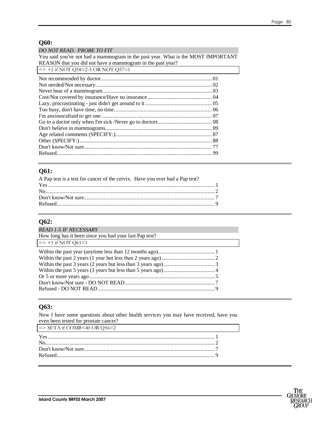#### **Q60:**

*DO NOT READ. PROBE TO FIT* 

You said you've not had a mammogram in the past year. What is the MOST IMPORTANT REASON that you did not have a mammogram in the past year?

#### **Q61:**

| A Pap test is a test for cancer of the cervix. Have you ever had a Pap test? |  |
|------------------------------------------------------------------------------|--|
|                                                                              |  |
|                                                                              |  |
|                                                                              |  |
|                                                                              |  |
|                                                                              |  |

## **Q62:**

| <b>READ 1-5 IF NECESSARY</b>                           |  |
|--------------------------------------------------------|--|
| How long has it been since you had your last Pap test? |  |
| $\Rightarrow$ +1 if NOT Q61=1                          |  |
|                                                        |  |
|                                                        |  |
|                                                        |  |
|                                                        |  |
|                                                        |  |
|                                                        |  |
|                                                        |  |

#### **Q63:**

Now I have some questions about other health services you may have received, have you even been tested for prostate cancer?  $\Rightarrow$  SETA if COMB<40 OR Q56=2 Yes ..................................................................................................................... 1 No....................................................................................................................... 2 Don't know/Not sure............................................................................................ 7 Refused............................................................................................................... 9

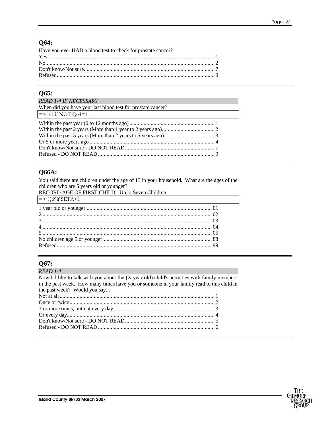#### **Q64:**

| Have you ever HAD a blood test to check for prostate cancer? |  |
|--------------------------------------------------------------|--|
|                                                              |  |
|                                                              |  |
|                                                              |  |
|                                                              |  |
|                                                              |  |

#### Q65:

| <b>READ 1-4 IF NECESSARY</b>                                |  |
|-------------------------------------------------------------|--|
| When did you have your last blood test for prostate cancer? |  |
| $\Rightarrow$ +1 if NOT Q64=1                               |  |
|                                                             |  |
|                                                             |  |
|                                                             |  |
|                                                             |  |
|                                                             |  |
|                                                             |  |

#### **Q66A:**

You said there are children under the age of 13 in your household. What are the ages of the children who are 5 years old or younger?

RECORD AGE OF FIRST CHILD: Up to Seven Children

| $\Rightarrow$ Q69if SETA<1<br><u> 1989 - Johann Stoff, deutscher Stoff, der Stoff, der Stoff, der Stoff, der Stoff, der Stoff, der Stoff, der S</u> |  |
|-----------------------------------------------------------------------------------------------------------------------------------------------------|--|
|                                                                                                                                                     |  |
|                                                                                                                                                     |  |
|                                                                                                                                                     |  |
|                                                                                                                                                     |  |
|                                                                                                                                                     |  |
|                                                                                                                                                     |  |
|                                                                                                                                                     |  |

#### Q67:

| READ 1-4                                                                                    |  |
|---------------------------------------------------------------------------------------------|--|
| Now I'd like to talk with you about the (X year old) child's activities with family members |  |
| in the past week. How many times have you or someone in your family read to this child in   |  |
| the past week? Would you say                                                                |  |
|                                                                                             |  |
|                                                                                             |  |
|                                                                                             |  |
|                                                                                             |  |
|                                                                                             |  |
|                                                                                             |  |
|                                                                                             |  |

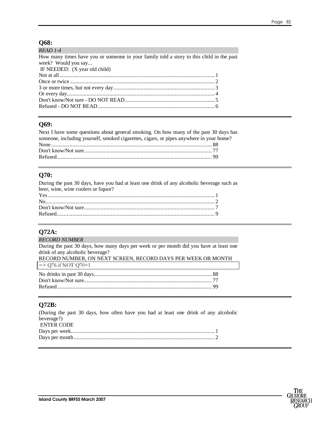### **Q68:**

| How many times have you or someone in your family told a story to this child in the past |
|------------------------------------------------------------------------------------------|
|                                                                                          |
|                                                                                          |
|                                                                                          |
|                                                                                          |
|                                                                                          |
|                                                                                          |
|                                                                                          |
|                                                                                          |
|                                                                                          |

#### **Q69:**

| Next I have some questions about general smoking. On how many of the past 30 days has   |  |
|-----------------------------------------------------------------------------------------|--|
| someone, including yourself, smoked cigarettes, cigars, or pipes anywhere in your home? |  |
|                                                                                         |  |
|                                                                                         |  |
|                                                                                         |  |

#### **Q70:**

During the past 30 days, have you had at least one drink of any alcoholic beverage such as beer, wine, wine coolers or liquor? Yes ..................................................................................................................... 1 No....................................................................................................................... 2 Don't know/Not sure............................................................................................ 7 Refused............................................................................................................... 9

### **Q72A:**

| <b>RECORD NUMBER</b>                                                                   |
|----------------------------------------------------------------------------------------|
| During the past 30 days, how many days per week or per month did you have at least one |
| drink of any alcoholic beverage?                                                       |
| RECORD NUMBER, ON NEXT SCREEN, RECORD DAYS PER WEEK OR MONTH                           |
| $\Rightarrow$ Q76 if NOT Q70=1                                                         |
|                                                                                        |
|                                                                                        |
|                                                                                        |
|                                                                                        |

#### **Q72B:**

| (During the past 30 days, how often have you had at least one drink of any alcoholic |  |  |  |  |  |  |  |  |
|--------------------------------------------------------------------------------------|--|--|--|--|--|--|--|--|
| beverage?)                                                                           |  |  |  |  |  |  |  |  |
| <b>ENTER CODE</b>                                                                    |  |  |  |  |  |  |  |  |
|                                                                                      |  |  |  |  |  |  |  |  |
|                                                                                      |  |  |  |  |  |  |  |  |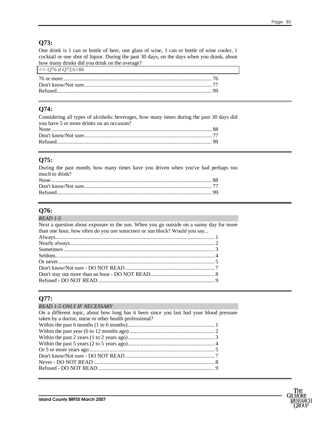#### **Q73:**

One drink is 1 can or bottle of beer, one glass of wine, 1 can or bottle of wine cooler, 1 cocktail or one shot of liquor. During the past 30 days, on the days when you drank, about how many drinks did you drink on the average?

| $\approx$ Q76 if Q72A=88 |  |
|--------------------------|--|
|                          |  |
|                          |  |
|                          |  |
|                          |  |

#### **Q74:**

| Considering all types of alcoholic beverages, how many times during the past 30 days did |  |
|------------------------------------------------------------------------------------------|--|
| you have 5 or more drinks on an occasion?                                                |  |
|                                                                                          |  |
|                                                                                          |  |
|                                                                                          |  |

#### **Q75:**

| During the past month, how many times have you driven when you've had perhaps too |  |
|-----------------------------------------------------------------------------------|--|
| much to drink?                                                                    |  |
|                                                                                   |  |
|                                                                                   |  |
|                                                                                   |  |

## **Q76:**

#### *READ 1-5*  Next a question about exposure to the sun. When you go outside on a sunny day for more than one hour, how often do you use sunscreen or sun block? Would you say... Always................................................................................................................ 1 Nearly always...................................................................................................... 2 Sometimes .......................................................................................................... 3 Seldom................................................................................................................ 4 Or never.............................................................................................................. 5 Don't know/Not sure - DO NOT READ............................................................... 7 Don't stay out more than an hour - DO NOT READ............................................. 8 Refused - DO NOT READ .................................................................................. 9

#### **Q77:**

#### *READ 1-5 ONLY IF NECESSARY*

| On a different topic, about how long has it been since you last had your blood pressure |
|-----------------------------------------------------------------------------------------|
| taken by a doctor, nurse or other health professional?                                  |
|                                                                                         |
|                                                                                         |
|                                                                                         |
|                                                                                         |
|                                                                                         |
|                                                                                         |
|                                                                                         |
|                                                                                         |
|                                                                                         |

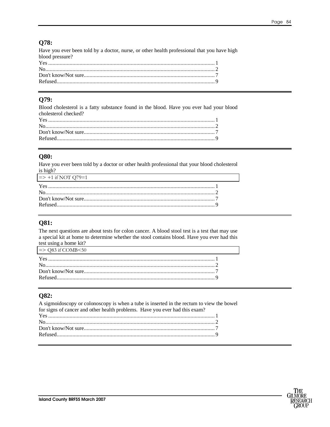#### **Q78:**

Have you ever been told by a doctor, nurse, or other health professional that you have high blood pressure? 

#### Q79:

Blood cholesterol is a fatty substance found in the blood. Have you ever had your blood cholesterol checked? 

#### **O80:**

Have you ever been told by a doctor or other health professional that your blood cholesterol is high?

| $\approx$ +1 if NOT Q/9=1<br><u> 1989 - John Stein, Amerikaansk politiker (</u> † 1920) |  |
|-----------------------------------------------------------------------------------------|--|
|                                                                                         |  |
|                                                                                         |  |
|                                                                                         |  |
|                                                                                         |  |
|                                                                                         |  |

#### **O81:**

The next questions are about tests for colon cancer. A blood stool test is a test that may use a special kit at home to determine whether the stool contains blood. Have you ever had this test using a home kit?

| $\approx$ Q83 if COMB $\leq$ 50 |  |
|---------------------------------|--|
|                                 |  |
|                                 |  |
|                                 |  |
|                                 |  |
|                                 |  |

#### Q82:

A sigmoidoscopy or colonoscopy is when a tube is inserted in the rectum to view the bowel for signs of cancer and other health problems. Have you ever had this exam? 

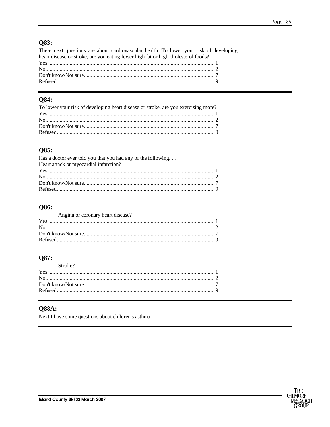# **Q83:**

| These next questions are about cardiovascular health. To lower your risk of developing |  |
|----------------------------------------------------------------------------------------|--|
| heart disease or stroke, are you eating fewer high fat or high cholesterol foods?      |  |
|                                                                                        |  |
|                                                                                        |  |
|                                                                                        |  |
|                                                                                        |  |

#### **Q84:**

| To lower your risk of developing heart disease or stroke, are you exercising more? |  |
|------------------------------------------------------------------------------------|--|
|                                                                                    |  |
|                                                                                    |  |
|                                                                                    |  |
|                                                                                    |  |
|                                                                                    |  |

#### Q85:

| Has a doctor ever told you that you had any of the following |  |
|--------------------------------------------------------------|--|
| Heart attack or myocardial infarction?                       |  |
|                                                              |  |
|                                                              |  |
|                                                              |  |
|                                                              |  |

#### **Q86:**

#### Angina or coronary heart disease?

#### Q87:

| Stroke? |  |
|---------|--|
|         |  |
|         |  |
|         |  |
|         |  |
|         |  |

#### **Q88A:**

Next I have some questions about children's asthma.

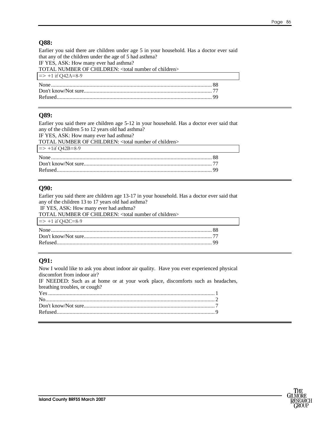#### **Q88:**

Earlier you said there are children under age 5 in your household. Has a doctor ever said that any of the children under the age of 5 had asthma? IF YES, ASK: How many ever had asthma? TOTAL NUMBER OF CHILDREN: <total number of children>  $\Rightarrow$  +1 if Q42A=8-9 None ................................................................................................................. 88 Don't know/Not sure.......................................................................................... 77 Refused............................................................................................................. 99

#### **Q89:**

Earlier you said there are children age 5-12 in your household. Has a doctor ever said that any of the children 5 to 12 years old had asthma? IF YES, ASK: How many ever had asthma? TOTAL NUMBER OF CHILDREN: <total number of children>  $=$  > +1if Q42B=8-9 None ................................................................................................................. 88 Don't know/Not sure.......................................................................................... 77 Refused............................................................................................................. 99

#### **Q90:**

Earlier you said there are children age 13-17 in your household. Has a doctor ever said that any of the children 13 to 17 years old had asthma?

IF YES, ASK: How many ever had asthma?

| TOTAL NUMBER OF CHILDREN: <total children="" number="" of=""></total> |  |
|-----------------------------------------------------------------------|--|
| $\Rightarrow$ +1 if Q42C=8-9                                          |  |
|                                                                       |  |
|                                                                       |  |
|                                                                       |  |
|                                                                       |  |

#### **Q91:**

Now I would like to ask you about indoor air quality. Have you ever experienced physical discomfort from indoor air? IF NEEDED: Such as at home or at your work place, discomforts such as headaches, breathing troubles, or cough? Yes ..................................................................................................................... 1 No....................................................................................................................... 2 Don't know/Not sure............................................................................................ 7 Refused............................................................................................................... 9

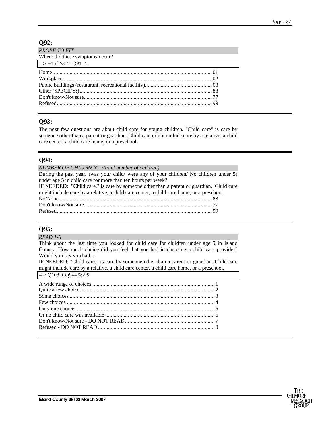#### **Q92:**

| <b>PROBE TO FIT</b><br>Where did these symptoms occur? |  |
|--------------------------------------------------------|--|
| $\Rightarrow$ +1 if NOT Q91=1                          |  |
|                                                        |  |

#### **Q93:**

The next few questions are about child care for young children. "Child care" is care by someone other than a parent or guardian. Child care might include care by a relative, a child care center, a child care home, or a preschool.

#### **Q94:**

*NUMBER OF CHILDREN: <total number of children)*  During the past year, (was your child/ were any of your children/ No children under 5) under age 5 in child care for more than ten hours per week? IF NEEDED: "Child care," is care by someone other than a parent or guardian. Child care might include care by a relative, a child care center, a child care home, or a preschool. No/None ........................................................................................................... 88 Don't know/Not sure.......................................................................................... 77 Refused............................................................................................................. 99

#### **Q95:**

*READ 1-6* 

Think about the last time you looked for child care for children under age 5 in Island County. How much choice did you feel that you had in choosing a child care provider? Would you say you had...

IF NEEDED: "Child care," is care by someone other than a parent or guardian. Child care might include care by a relative, a child care center, a child care home, or a preschool.  $\Rightarrow$  O103 if O94=88-99

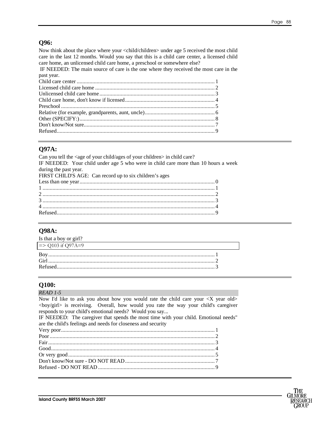#### **Q96:**

Now think about the place where your <child/children> under age 5 received the most child care in the last 12 months. Would you say that this is a child care center, a licensed child care home, an unlicensed child care home, a preschool or somewhere else?

 IF NEEDED: The main source of care is the one where they received the most care in the past year.

#### **Q97A:**

| Can you tell the <age ages="" child="" children="" of="" your=""> in child care?</age> |
|----------------------------------------------------------------------------------------|
| IF NEEDED: Your child under age 5 who were in child care more than 10 hours a week     |
| during the past year.                                                                  |
| FIRST CHILD'S AGE: Can record up to six children's ages                                |
|                                                                                        |
|                                                                                        |
|                                                                                        |
|                                                                                        |
|                                                                                        |
|                                                                                        |
|                                                                                        |

#### **Q98A:**

| Is that a boy or girl?<br>the control of the control of the control of the control of the control of the control of the control of the control of the control of the control of the control of the control of the control of the control of the control |  |
|---------------------------------------------------------------------------------------------------------------------------------------------------------------------------------------------------------------------------------------------------------|--|
| $\Rightarrow$ Q103 if Q97A=9                                                                                                                                                                                                                            |  |
|                                                                                                                                                                                                                                                         |  |
|                                                                                                                                                                                                                                                         |  |
|                                                                                                                                                                                                                                                         |  |
|                                                                                                                                                                                                                                                         |  |

#### **Q100:**

| <i>READ 1-5</i>                                                                                   |
|---------------------------------------------------------------------------------------------------|
| Now I'd like to ask you about how you would rate the child care your $\langle X \rangle$ year old |
| $\langle$ boy/girl> is receiving. Overall, how would you rate the way your child's caregiver      |
| responds to your child's emotional needs? Would you say                                           |
| IF NEEDED: The caregiver that spends the most time with your child. Emotional needs"              |
| are the child's feelings and needs for closeness and security                                     |
|                                                                                                   |
|                                                                                                   |
|                                                                                                   |
|                                                                                                   |
|                                                                                                   |
|                                                                                                   |
|                                                                                                   |
|                                                                                                   |

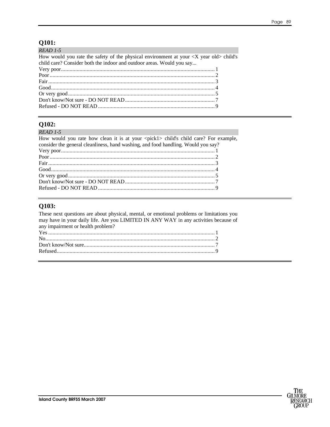#### Q101:

| $READ$ 1-5                                                                                                                                                                                |  |
|-------------------------------------------------------------------------------------------------------------------------------------------------------------------------------------------|--|
| How would you rate the safety of the physical environment at your $\langle X \rangle$ year old $\rangle$ child's<br>child care? Consider both the indoor and outdoor areas. Would you say |  |
|                                                                                                                                                                                           |  |
|                                                                                                                                                                                           |  |
|                                                                                                                                                                                           |  |
|                                                                                                                                                                                           |  |
|                                                                                                                                                                                           |  |
|                                                                                                                                                                                           |  |
|                                                                                                                                                                                           |  |

#### Q102:

#### READ 1-5

| How would you rate how clean it is at your <pick1> child's child care? For example,</pick1> |  |
|---------------------------------------------------------------------------------------------|--|
| consider the general cleanliness, hand washing, and food handling. Would you say?           |  |
|                                                                                             |  |
|                                                                                             |  |
|                                                                                             |  |
|                                                                                             |  |
|                                                                                             |  |
|                                                                                             |  |
|                                                                                             |  |
|                                                                                             |  |

#### Q103:

These next questions are about physical, mental, or emotional problems or limitations you may have in your daily life. Are you LIMITED IN ANY WAY in any activities because of any impairment or health problem? 

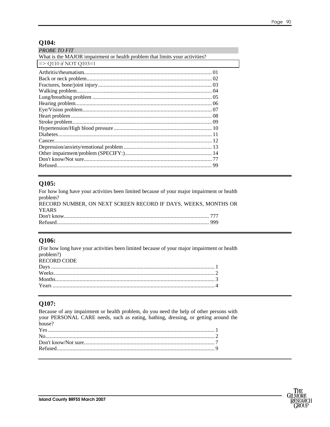#### Q104:

| <b>PROBE TO FIT</b>                                                         |  |
|-----------------------------------------------------------------------------|--|
| What is the MAJOR impairment or health problem that limits your activities? |  |
| $\Rightarrow$ Q110 if NOT Q103=1                                            |  |
|                                                                             |  |
|                                                                             |  |
|                                                                             |  |
|                                                                             |  |
|                                                                             |  |
|                                                                             |  |
|                                                                             |  |
|                                                                             |  |
|                                                                             |  |
|                                                                             |  |
|                                                                             |  |
|                                                                             |  |
|                                                                             |  |
|                                                                             |  |
|                                                                             |  |
|                                                                             |  |

#### Q105:

| For how long have your activities been limited because of your major impairment or health |  |
|-------------------------------------------------------------------------------------------|--|
| problem?                                                                                  |  |
| RECORD NUMBER, ON NEXT SCREEN RECORD IF DAYS, WEEKS, MONTHS OR                            |  |
| <b>YEARS</b>                                                                              |  |
|                                                                                           |  |
|                                                                                           |  |

#### Q106:

| (For how long have your activities been limited because of your major impairment or health |  |
|--------------------------------------------------------------------------------------------|--|
| problem?)                                                                                  |  |
| RECORD CODE                                                                                |  |
|                                                                                            |  |
|                                                                                            |  |
|                                                                                            |  |
|                                                                                            |  |
|                                                                                            |  |

## Q107:

Because of any impairment or health problem, do you need the help of other persons with your PERSONAL CARE needs, such as eating, bathing, dressing, or getting around the house? 

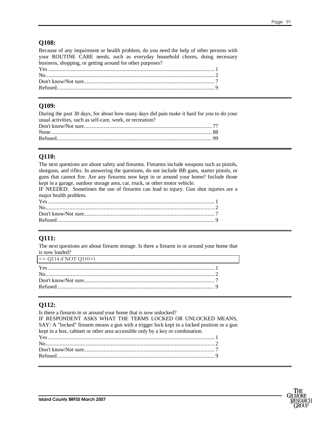#### **Q108:**

Because of any impairment or health problem, do you need the help of other persons with your ROUTINE CARE needs, such as everyday household chores, doing necessary business, shopping, or getting around for other purposes?

#### **Q109:**

During the past 30 days, for about how many days did pain make it hard for you to do your usual activities, such as self-care, work, or recreation? Don't know/Not sure.......................................................................................... 77 None ................................................................................................................. 88 Refused............................................................................................................. 99

### **Q110:**

The next questions are about safety and firearms. Firearms include weapons such as pistols, shotguns, and rifles. In answering the questions, do not include BB guns, starter pistols, or guns that cannot fire. Are any firearms now kept in or around your home? Include those kept in a garage, outdoor storage area, car, truck, or other motor vehicle.

IF NEEDED: Sometimes the use of firearms can lead to injury. Gun shot injuries are a major health problem.

## **Q111:**

The next questions are about firearm storage. Is there a firearm in or around your home that is now loaded?

| $\Rightarrow$ Q114 if NOT Q110=1 |  |
|----------------------------------|--|
|                                  |  |
|                                  |  |
|                                  |  |
|                                  |  |
|                                  |  |

## **Q112:**

Is there a firearm in or around your home that is now unlocked? IF RESPONDENT ASKS WHAT THE TERMS LOCKED OR UNLOCKED MEANS, SAY: A "locked" firearm means a gun with a trigger lock kept in a locked position or a gun kept in a box, cabinet or other area accessible only by a key or combination. Yes ..................................................................................................................... 1 No....................................................................................................................... 2 Don't know/Not sure............................................................................................ 7 Refused............................................................................................................... 9

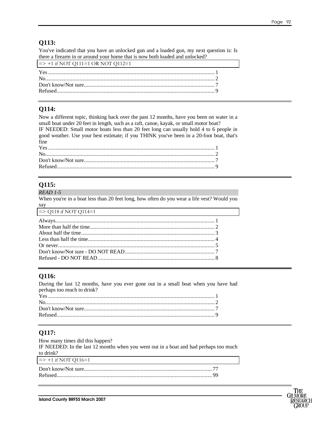#### **Q113:**

You've indicated that you have an unlocked gun and a loaded gun, my next question is: Is there a firearm in or around your home that is now both loaded and unlocked?

| $\Rightarrow$ +1 if NOT Q111=1 OR NOT Q112=1 |  |
|----------------------------------------------|--|
|                                              |  |
|                                              |  |
|                                              |  |
|                                              |  |
|                                              |  |

#### **Q114:**

Now a different topic, thinking back over the past 12 months, have you been on water in a small boat under 20 feet in length, such as a raft, canoe, kayak, or small motor boat? IF NEEDED: Small motor boats less than 20 feet long can usually hold 4 to 6 people in good weather. Use your best estimate; if you THINK you've been in a 20-foot boat, that's fine

## **Q115:**

#### *READ 1-5*

When you're in a boat less than 20 feet long, how often do you wear a life vest? Would you say

| $\Rightarrow$ Q118 if NOT Q114=1 |  |
|----------------------------------|--|
|                                  |  |
|                                  |  |
|                                  |  |
|                                  |  |
| Or never $\sim$ 5                |  |
|                                  |  |
|                                  |  |

#### **Q116:**

During the last 12 months, have you ever gone out in a small boat when you have had perhaps too much to drink? Yes ..................................................................................................................... 1 No....................................................................................................................... 2 Don't know/Not sure............................................................................................ 7 Refused............................................................................................................... 9

#### **Q117:**

| How many times did this happen?                                                       |  |
|---------------------------------------------------------------------------------------|--|
| IF NEEDED: In the last 12 months when you went out in a boat and had perhaps too much |  |
| to drink?                                                                             |  |
| $\Rightarrow$ +1 if NOT Q116=1                                                        |  |
|                                                                                       |  |
|                                                                                       |  |
|                                                                                       |  |

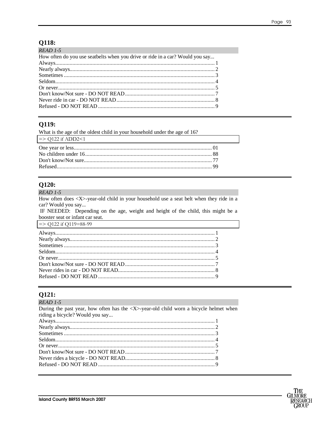#### Q118:

| <i>READ 1-5</i>                                                               |  |
|-------------------------------------------------------------------------------|--|
| How often do you use seatbelts when you drive or ride in a car? Would you say |  |
|                                                                               |  |
|                                                                               |  |
|                                                                               |  |
|                                                                               |  |
|                                                                               |  |
|                                                                               |  |
|                                                                               |  |
|                                                                               |  |
|                                                                               |  |

### Q119:

| What is the age of the oldest child in your household under the age of 16? |  |
|----------------------------------------------------------------------------|--|
| $\Rightarrow$ Q122 if ADD2<1                                               |  |
|                                                                            |  |
|                                                                            |  |
|                                                                            |  |
|                                                                            |  |

### Q120:

**READ 1-5** 

How often does <X>-year-old child in your household use a seat belt when they ride in a car? Would you say...

IF NEEDED: Depending on the age, weight and height of the child, this might be a booster seat or infant car seat.

|  |  | $\Rightarrow$ Q122 if Q119=88-99 |
|--|--|----------------------------------|
|--|--|----------------------------------|

# **Q121:**<br> $READ 1-5$

| $RFAU1-1$                                                                                              |  |
|--------------------------------------------------------------------------------------------------------|--|
| During the past year, how often has the $\langle X \rangle$ -year-old child worn a bicycle helmet when |  |
| riding a bicycle? Would you say                                                                        |  |
|                                                                                                        |  |
|                                                                                                        |  |
|                                                                                                        |  |
|                                                                                                        |  |
|                                                                                                        |  |
|                                                                                                        |  |
|                                                                                                        |  |
|                                                                                                        |  |
|                                                                                                        |  |

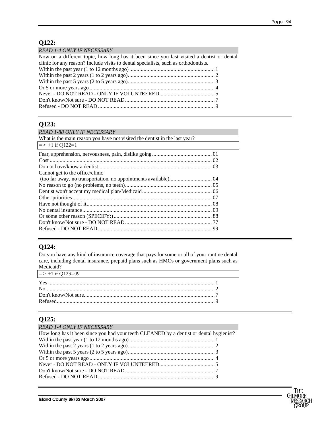# **Q122:**

| <b>READ 1-4 ONLY IF NECESSARY</b>                                                         |  |
|-------------------------------------------------------------------------------------------|--|
| Now on a different topic, how long has it been since you last visited a dentist or dental |  |
| clinic for any reason? Include visits to dental specialists, such as orthodontists.       |  |
|                                                                                           |  |
|                                                                                           |  |
|                                                                                           |  |
|                                                                                           |  |
|                                                                                           |  |
|                                                                                           |  |
|                                                                                           |  |
|                                                                                           |  |

#### **Q123:**

| <b>READ 1-88 ONLY IF NECESSARY</b>                                         |  |
|----------------------------------------------------------------------------|--|
| What is the main reason you have not visited the dentist in the last year? |  |
| $\Rightarrow$ +1 if Q122=1                                                 |  |
|                                                                            |  |
|                                                                            |  |
|                                                                            |  |
| Cannot get to the office/clinic                                            |  |
|                                                                            |  |
|                                                                            |  |
|                                                                            |  |
|                                                                            |  |
|                                                                            |  |
|                                                                            |  |
|                                                                            |  |
|                                                                            |  |
|                                                                            |  |

#### **Q124:**

Do you have any kind of insurance coverage that pays for some or all of your routine dental care, including dental insurance, prepaid plans such as HMOs or government plans such as Medicaid?

| $\Rightarrow$ +1 if Q123=09 |  |
|-----------------------------|--|
|                             |  |
|                             |  |
|                             |  |
|                             |  |

#### **Q125:**

#### *READ 1-4 ONLY IF NECESSARY*

| How long has it been since you had your teeth CLEANED by a dentist or dental hygienist? |  |
|-----------------------------------------------------------------------------------------|--|
|                                                                                         |  |
|                                                                                         |  |
|                                                                                         |  |
|                                                                                         |  |
|                                                                                         |  |
|                                                                                         |  |
|                                                                                         |  |

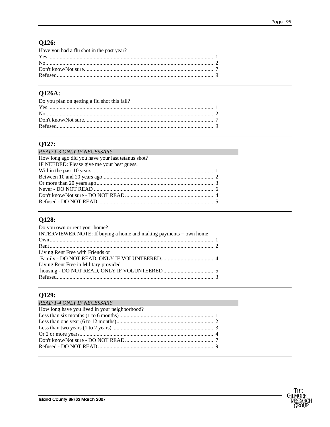# Q126:

| Have you had a flu shot in the past year? |  |
|-------------------------------------------|--|
|                                           |  |
|                                           |  |
|                                           |  |
|                                           |  |
|                                           |  |

## Q126A:

| Do you plan on getting a flu shot this fall? |  |
|----------------------------------------------|--|
|                                              |  |
|                                              |  |
|                                              |  |
|                                              |  |
|                                              |  |

## Q127:

| <b>READ 1-3 ONLY IF NECESSARY</b><br>the control of the control of the control of the control of the control of the control of |  |
|--------------------------------------------------------------------------------------------------------------------------------|--|
| How long ago did you have your last tetanus shot?                                                                              |  |
| IF NEEDED: Please give me your best guess.                                                                                     |  |
|                                                                                                                                |  |
|                                                                                                                                |  |
|                                                                                                                                |  |
|                                                                                                                                |  |
|                                                                                                                                |  |
|                                                                                                                                |  |

### Q128:

| Do you own or rent your home?                                     |  |
|-------------------------------------------------------------------|--|
| INTERVIEWER NOTE: If buying a home and making payments = own home |  |
|                                                                   |  |
|                                                                   |  |
| Living Rent Free with Friends or                                  |  |
|                                                                   |  |
| Living Rent Free in Military provided                             |  |
|                                                                   |  |
|                                                                   |  |
|                                                                   |  |

# Q129:

| <b>READ 1-4 ONLY IF NECESSARY</b>             |  |
|-----------------------------------------------|--|
| How long have you lived in your neighborhood? |  |
|                                               |  |
|                                               |  |
|                                               |  |
|                                               |  |
|                                               |  |
|                                               |  |
|                                               |  |

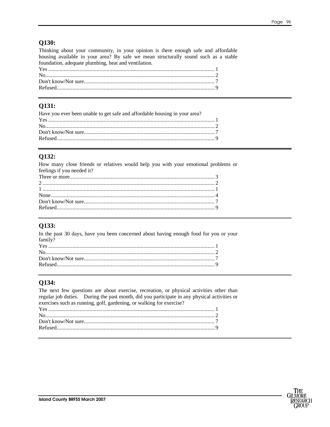#### Q130:

Thinking about your community, in your opinion is there enough safe and affordable housing available in your area? By safe we mean structurally sound such as a stable foundation, adequate plumbing, heat and ventilation.

#### Q131:

| Have you ever been unable to get safe and affordable housing in your area? |  |
|----------------------------------------------------------------------------|--|
|                                                                            |  |
|                                                                            |  |
|                                                                            |  |
|                                                                            |  |
|                                                                            |  |

### Q132:

How many close friends or relatives would help you with your emotional problems or feelings if you needed it?

#### Q133:

In the past 30 days, have you been concerned about having enough food for you or your  $family$ ? 

## Q134:

| The next few questions are about exercise, recreation, or physical activities other than     |  |
|----------------------------------------------------------------------------------------------|--|
| regular job duties. During the past month, did you participate in any physical activities or |  |
| exercises such as running, golf, gardening, or walking for exercise?                         |  |
|                                                                                              |  |
|                                                                                              |  |
|                                                                                              |  |
|                                                                                              |  |
|                                                                                              |  |

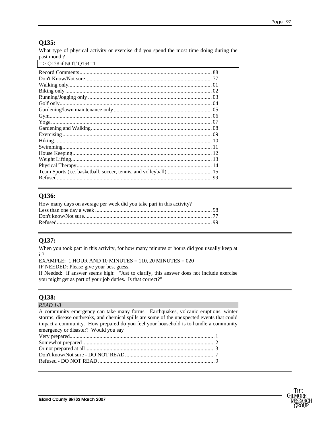#### **Q135:**

What type of physical activity or exercise did you spend the most time doing during the past month?

| $\Rightarrow$ O138 if NOT O134=1 |  |
|----------------------------------|--|
|                                  |  |
|                                  |  |
|                                  |  |
|                                  |  |
|                                  |  |
|                                  |  |
|                                  |  |
|                                  |  |
|                                  |  |
|                                  |  |
|                                  |  |
| Hiking                           |  |
|                                  |  |
|                                  |  |
|                                  |  |
|                                  |  |
|                                  |  |
|                                  |  |

#### **Q136:**

| How many days on average per week did you take part in this activity? |  |
|-----------------------------------------------------------------------|--|
|                                                                       |  |
|                                                                       |  |
|                                                                       |  |
|                                                                       |  |

#### **Q137:**

When you took part in this activity, for how many minutes or hours did you usually keep at it?

EXAMPLE:  $1$  HOUR AND  $10$  MINUTES =  $110$ ,  $20$  MINUTES =  $020$ IF NEEDED: Please give your best guess.

If Needed: if answer seems high: "Just to clarify, this answer does not include exercise you might get as part of your job duties. Is that correct?"

#### **Q138:**

#### *READ 1-3*

A community emergency can take many forms. Earthquakes, volcanic eruptions, winter storms, disease outbreaks, and chemical spills are some of the unexpected events that could impact a community. How prepared do you feel your household is to handle a community emergency or disaster? Would you say Very prepared...................................................................................................... 1 Somewhat prepared............................................................................................. 2 Or not prepared at all........................................................................................... 3 Don't know/Not sure - DO NOT READ............................................................... 7

Refused - DO NOT READ .................................................................................. 9